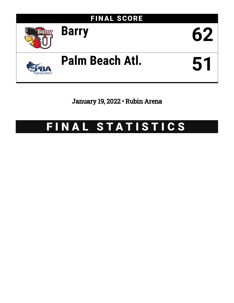

January 19, 2022 • Rubin Arena

# FINAL STATISTICS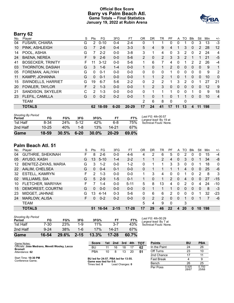# **Official Box Score Barry vs Palm Beach Atl. Game Totals -- Final Statistics January 19, 2022 at Rubin Arena**



# **Barry 62**

| No. | Plaver                    | S  | Pts           | FG       | 3FG      | FT        | 0R             | <b>DR</b>      | TR             | PF       | A        | TO       | <b>B</b> lk  | Stl          | Min | $+/-$          |
|-----|---------------------------|----|---------------|----------|----------|-----------|----------------|----------------|----------------|----------|----------|----------|--------------|--------------|-----|----------------|
| 04  | <b>FUSARI, CHIARA</b>     | G  | 2             | $0 - 10$ | $0 - 4$  | $2 - 4$   | 0              |                |                | 0        | 0        |          | 0            | 3            | 13  | $-3$           |
| 10  | PINK, ASHLEIGH            | G  |               | $2-6$    | $0 - 4$  | $3 - 3$   | 5              | 4              | 9              | 4        |          | 3        | $\mathbf{0}$ | 2            | 28  | 12             |
| 14  | POOL, ASHIA               | G  | 7             | $2 - 2$  | $0 - 0$  | $3 - 8$   | 3              | 1              | 4              | 0        | 3        | 2        | $\Omega$     | 2            | 24  | 4              |
| 24  | <b>BAENA, NEREA</b>       | F  | 9             | $2-6$    | $0 - 0$  | $5-6$     | $\overline{2}$ | 0              | $\overline{2}$ | 3        | 3        | 2        |              |              | 21  | $-5$           |
| 41  | <b>BOSECKER, TRINITY</b>  | F  | 11            | $3 - 12$ | $0 - 0$  | $5-6$     | 1              | 6              | 7              | 4        | 0        | 1        | 2            | 2            | 26  | $-4$           |
| 03  | THORNTON, DASIAH          | G  | 3             | $1 - 6$  | $1 - 4$  | $0-0$     |                | 0              | 1              | 2        | $\Omega$ | 0        | $\mathbf{0}$ | 0            | 9   | 1              |
| 05  | FOREMAN, AALIYAH          | G  | $\Omega$      | $0 - 1$  | $0 - 0$  | $0-0$     | 0              | 0              | $\Omega$       | 1.       | 0        | 0        | $\Omega$     | $\Omega$     | 9   | $\overline{2}$ |
| 11  | KAMPP, JOHANNA            | G  | $\Omega$      | $0 - 1$  | $0 - 0$  | $0 - 0$   |                | 1              | $\overline{2}$ |          | 0        | 1        | $\Omega$     | $\Omega$     | 10  | $\mathbf{0}$   |
| 15  | <b>SWINDELLS, HARRIET</b> | G  | 19            | $6 - 7$  | $5-6$    | $2 - 2$   | 0              | 2              | $\overline{2}$ |          | 3        | 2        | $\Omega$     |              | 27  | 21             |
| 20  | <b>FOWLER, TAYLOR</b>     | F. | $\mathcal{P}$ | $1 - 3$  | $0 - 0$  | $0 - 0$   |                | $\overline{2}$ | 3              | $\Omega$ | $\Omega$ | $\Omega$ | $\Omega$     | $\Omega$     | 12  | 9              |
| 21  | SANDISON, SKYELER         | C. | 2             | $1 - 3$  | $0 - 0$  | $0 - 0$   | 0              | 1              |                | 1        | $\Omega$ | 0        |              | 0            | 9   | 18             |
| 23  | FLEFIL, CAMILLA           | G  | $\mathbf{0}$  | $0 - 2$  | $0 - 2$  | $0 - 0$   |                | $\Omega$       |                | $\Omega$ | 1        | 1        | $\Omega$     | $\mathbf{0}$ | 10  | $\overline{4}$ |
|     | <b>TEAM</b>               |    |               |          |          |           | 2              | 6              | 8              | 0        |          | 0        |              |              |     |                |
|     | <b>TOTALS</b>             |    | 62            | 18-59    | $6 - 20$ | $20 - 29$ | 17             | 24             | 41             | 17       | 11       | 13       | 4            | 11           | 198 |                |

| <b>Shooting By Period</b><br>Period | FG        | FG%   | 3FG      | 3FG%     | FT        | FT%   | Last FG: 4th-00:57<br>Largest lead: By 19 at |
|-------------------------------------|-----------|-------|----------|----------|-----------|-------|----------------------------------------------|
| 1st Half                            | 8-34      | 24%   | $5-12$   | 42%      | 6-8       | 75%   | Technical Fouls: None.                       |
| 2nd Half                            | $10 - 25$ | 40%   | 1-8      | 13%      | 14-21     | 67%   |                                              |
| Game                                | $18 - 59$ | 30.5% | $6 - 20$ | $30.0\%$ | $20 - 29$ | 69.0% |                                              |

# **Palm Beach Atl. 51**

| No. | Player                   | S  | Pts | FG.      | 3FG      | FT        | ΟR | DR | TR             | PF             | A            | TO | Blk          | Stl          | Min | $+/-$        |
|-----|--------------------------|----|-----|----------|----------|-----------|----|----|----------------|----------------|--------------|----|--------------|--------------|-----|--------------|
| 04  | <b>GUTHRIE, SHEKINAH</b> | F. | 8   | $2-6$    | $0 - 0$  | 4-6       | 4  | 2  | 6              | 5              | 0            | 2  | $\Omega$     | 0            | 15  | $-4$         |
| 05  | AYUSO, KASH              | G  | 13  | $5 - 10$ | $1 - 4$  | $2 - 2$   |    |    | $\overline{2}$ | 4              | 0            | 3  | $\Omega$     |              | 34  | -8           |
| 12  | BENITEZ-ZAYAS, MARIA     | G  | 3   | $1 - 2$  | $0 - 0$  | $1 - 2$   | 0  |    |                | 3              | 3            | 0  | 0            |              | 18  | $\mathbf{0}$ |
| 22  | AALIM, CHELSEA           | G  | 0   | $0 - 4$  | $0 - 1$  | $0 - 0$   | 0  |    |                |                |              | 4  | $\mathbf{0}$ | $\mathbf{0}$ | 25  | -6           |
| 32  | <b>ESTELL, KAMRYN</b>    | F  | 2   | $1 - 3$  | $0 - 0$  | $0 - 0$   |    | 3  | 4              | 0              | 0            |    | 0            | 2            | 8   | 3            |
| 02  | <b>WILLIAMS, SIA</b>     | G  | 5   | $2 - 9$  | $1 - 5$  | $0 - 1$   |    | 0  |                | $\overline{2}$ | $\mathbf{0}$ | 4  | $\Omega$     | $\Omega$     | 27  | $-15$        |
| 10  | FLETCHER, MARIYAH        | F. |     | $1 - 4$  | $0 - 0$  | $5 - 11$  | 5  | 8  | 13             | 4              | 0            | 2  | $\Omega$     | 4            | 24  | $-10$        |
| 15  | DEMOREST, COURTNI        | G  | 0   | $0 - 0$  | $0 - 0$  | $0 - 0$   | 0  |    |                |                | 0            | 0  | $\Omega$     | $\Omega$     | 8   | $-3$         |
| 23  | MIDGET, JAHNAE           | G  | 13  | $4 - 14$ | $0 - 3$  | $5-6$     | 0  | 6  | 6              | $\overline{2}$ | 0            | 0  | $\Omega$     |              | 32  | $-23$        |
| 24  | <b>MARLOW, ALISA</b>     | F. | 0   | $0 - 2$  | $0 - 2$  | $0 - 0$   | 0  | 2  | 2              | 0              | 0            |    | 0            |              |     | -6           |
|     | <b>TEAM</b>              |    |     |          |          |           | 5  | 4  | 9              | $\Omega$       |              | 3  |              |              |     |              |
|     | <b>TOTALS</b>            |    | 51  | 16-54    | $2 - 15$ | $17 - 28$ | 17 | 29 | 46             | 22             | 4            | 20 | $\Omega$     | 10           | 198 |              |

| Game                                | 16-54    | 29.6% | $2 - 15$ | 13.3% | $17 - 28$ | 60.7% |              |
|-------------------------------------|----------|-------|----------|-------|-----------|-------|--------------|
| 2nd Half                            | $9 - 24$ | 38%   | $1 - 6$  | 17%   | 14-21     | 67%   |              |
| 1st Half                            | 7-30     | 23%   | 1-9      | 11%   | 3-7       | 43%   | Tech         |
| <b>Shooting By Period</b><br>Period | FG       | FG%   | 3FG      | 3FG%  | FT        | FT%   | Last<br>Larg |

*Last FG:* 4th-00:29 *Largest lead:* By 7 at *Technical Fouls:* None.

| Game Notes:                                              | <b>Score</b>                                   | 1st | 2nd             | 3rd | 4th | <b>TOT</b> | <b>Points</b>     | <b>BU</b>      | <b>PBA</b>     |
|----------------------------------------------------------|------------------------------------------------|-----|-----------------|-----|-----|------------|-------------------|----------------|----------------|
| Officials: Jose Medrano, Mevett Wooley, Lacca<br>Bromell | BU                                             | 11  | 16              | 18  |     | 62         | In the Paint      | 24             | 26             |
| Attendance: 62                                           | <b>PBA</b>                                     | 10  |                 | 13  | 20  | 51         | Off Turns         | 23             | 10             |
|                                                          |                                                |     |                 |     |     |            | 2nd Chance        |                |                |
| Start Time: 10:30 PM<br>Conference Game;                 | BU led for 24:57, PBA led for 13:55.           |     |                 |     |     |            | <b>Fast Break</b> |                |                |
|                                                          | Game was tied for 0:0.<br>Times tied: <b>0</b> |     | Lead Changes: 0 |     |     |            | Bench             | 26             | 25             |
|                                                          |                                                |     |                 |     |     |            | Per Poss          | 0.925<br>28/67 | 0.750<br>25/68 |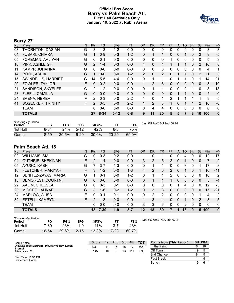# **Official Box Score Barry vs Palm Beach Atl. First Half Statistics Only January 19, 2022 at Rubin Arena**



# **Barry 27**

| No. | Plaver                   | S | <b>Pts</b>    | FG       | 3FG      | <b>FT</b> | <b>OR</b>      | <b>DR</b> | <b>TR</b>      | <b>PF</b> | A | <b>TO</b> | <b>Blk</b>   | Stl      | Min            | $+/-$        |
|-----|--------------------------|---|---------------|----------|----------|-----------|----------------|-----------|----------------|-----------|---|-----------|--------------|----------|----------------|--------------|
| 03  | THORNTON, DASIAH         | G | 3             | $1 - 3$  | $1 - 2$  | $0 - 0$   | 0              | $\Omega$  | $\Omega$       | $\Omega$  | 0 | 0         | $\Omega$     | 0        | 3              | 3            |
| 04  | <b>FUSARI, CHIARA</b>    | G |               | $0 - 9$  | $0 - 3$  | $1 - 2$   | 0              |           |                | $\Omega$  | 0 |           | 0            | 2        | 9              | $-5$         |
| 05  | FOREMAN, AALIYAH         | G | $\Omega$      | $0 - 1$  | $0 - 0$  | $0 - 0$   | $\Omega$       | 0         | $\Omega$       |           | 0 | 0         | $\Omega$     | $\Omega$ | 5              | 3            |
| 10  | PINK, ASHLEIGH           | G | $\mathcal{P}$ | $1 - 4$  | $0 - 3$  | $0 - 0$   | 4              | 0         | 4              |           |   |           | $\mathbf{0}$ | 2        | 16             | 8            |
| 11  | KAMPP, JOHANNA           | G | $\Omega$      | $0 - 0$  | $0 - 0$  | $0 - 0$   | $\Omega$       | 0         | $\mathbf{0}$   | $\Omega$  | 0 | 0         | $\mathbf{0}$ | $\Omega$ | 4              | 1            |
| 14  | POOL, ASHIA              | G |               | $0 - 0$  | $0 - 0$  | $1 - 2$   | $\overline{2}$ | 0         | $\overline{2}$ | $\Omega$  |   |           | $\mathbf{0}$ | 2        | 11             | 3            |
| 15  | SWINDELLS, HARRIET       | G | 14            | $5-5$    | $4 - 4$  | $0 - 0$   | 0              |           |                | 0         | 1 |           | $\Omega$     |          | 14             | 21           |
| 20  | <b>FOWLER, TAYLOR</b>    | F | $\Omega$      | $0 - 2$  | $0 - 0$  | $0 - 0$   | $\mathbf 1$    | 2         | 3              | 0         | 0 | 0         | $\mathbf{0}$ | 0        | 8              | 10           |
| 21  | SANDISON, SKYELER        | С | 2             | $1 - 2$  | $0 - 0$  | $0 - 0$   | 0              |           |                | 0         | 0 | 0         |              | 0        | 8              | 18           |
| 23  | FLEFIL, CAMILLA          | G | 0             | $0 - 0$  | $0 - 0$  | $0 - 0$   | $\Omega$       | 0         | $\mathbf{0}$   | $\Omega$  |   |           | $\mathbf{0}$ | $\Omega$ | $\overline{4}$ | $\Omega$     |
| 24  | <b>BAENA, NEREA</b>      | F | 2             | $0 - 3$  | $0 - 0$  | $2 - 2$   | 1              | 0         | 1              | 2         | 1 |           |              |          | 9              | $-5$         |
| 41  | <b>BOSECKER, TRINITY</b> | F | $\mathcal{P}$ | $0 - 5$  | $0 - 0$  | $2 - 2$   |                | 2         | 3              |           | 0 |           |              | 2        | 10             | $-6$         |
|     | <b>TEAM</b>              |   | 0             | $0 - 0$  | $0 - 0$  | $0 - 0$   | 0              | 4         | 4              | 0         | 0 | 0         | 0            | 0        | $\mathbf{0}$   | 0            |
|     | <b>TOTALS</b>            |   | 27            | $8 - 34$ | $5 - 12$ | $6 - 8$   | 9              | 11        | 20             | 5         | 5 | 7         | 3            | 10       | 100            | $\mathbf{0}$ |

| <b>Shooting By Period</b> |       |       |        |          |           |       |
|---------------------------|-------|-------|--------|----------|-----------|-------|
| Period                    | FG    | FG%   | 3FG    | 3FG%     | FТ        | FT%   |
| 1st Half                  | 8-34  | 24%   | $5-12$ | 42%      | հ-8       | 75%   |
| Game                      | 18-59 | 30.5% | $6-20$ | $30.0\%$ | $20 - 29$ | 69.0% |

*Last FG Half:* BU 2nd-00:14

# **Palm Beach Atl. 18**

| No. | Plaver                   | S  | Pts      | <b>FG</b> | 3FG     | <b>FT</b> | <b>OR</b> | <b>DR</b> | TR | PF           | A        | TO.            | <b>Blk</b> | Stl      | Min | $+/-$       |
|-----|--------------------------|----|----------|-----------|---------|-----------|-----------|-----------|----|--------------|----------|----------------|------------|----------|-----|-------------|
| 02  | <b>WILLIAMS, SIA</b>     | G  | 0        | $0 - 3$   | $0 - 2$ | $0 - 0$   |           | 0         |    | 0            | 0        | 4              | 0          | 0        | 12  | $-17$       |
| 04  | <b>GUTHRIE, SHEKINAH</b> | F. | 2        | 1-4       | $0 - 0$ | $0 - 0$   | 3         | 2         | 5  | 2            | 0        |                | 0          | 0        | 7   | 2           |
| 05  | AYUSO, KASH              | G  |          | $3 - 7$   | $1 - 3$ | $0 - 0$   | O         |           |    | 0            | 0        | 3              | 0          |          | 17  | -8          |
| 10  | FLETCHER, MARIYAH        | F. | 3        | $1 - 2$   | $0 - 0$ | $1 - 3$   | 4         | 2         | 6  | 2            | $\Omega$ |                | 0          |          | 10  | $-11$       |
| 12  | BENITEZ-ZAYAS, MARIA     | G  |          | $0 - 1$   | $0 - 0$ | $1 - 2$   | 0         | 1         | 1  | 2            | 0        | 0              | 0          | 0        | 10  | 2           |
| 15  | <b>DEMOREST, COURTNI</b> | G  | $\Omega$ | $0 - 0$   | $0 - 0$ | $0 - 0$   | 0         |           |    |              | 0        | 0              | $\Omega$   | $\Omega$ | 5   | $-4$        |
| 22  | AALIM, CHELSEA           | G  | 0        | $0 - 3$   | $0 - 1$ | $0 - 0$   | 0         | $\Omega$  | 0  | 0            |          | 4              | 0          | 0        | 12  | -3          |
| 23  | MIDGET, JAHNAE           | G  | 3        | $1 - 6$   | $0 - 2$ | $1 - 2$   | 0         | 3         | 3  | $\mathbf{0}$ | $\Omega$ | 0              | 0          | $\Omega$ | 15  | $-21$       |
| 24  | <b>MARLOW, ALISA</b>     | F  | 0        | $0 - 1$   | $0 - 1$ | $0 - 0$   | 0         | 2         | 2  | 0            | 0        | O              | 0          |          | 4   | $-2$        |
| 32  | <b>ESTELL, KAMRYN</b>    | F. | 2        | $1 - 3$   | $0 - 0$ | $0 - 0$   |           | 3         | 4  | 0            | $\Omega$ |                | $\Omega$   | 2        | 8   | 5           |
|     | <b>TEAM</b>              |    | $\Omega$ | $0 - 0$   | $0 - 0$ | $0 - 0$   | 3         | 3         | 6  | $\mathbf 0$  | $\Omega$ | $\overline{2}$ | $\Omega$   | $\Omega$ | 0   | $\mathbf 0$ |
|     | <b>TOTALS</b>            |    | 18       | $7 - 30$  | $1 - 9$ | $3 - 7$   | 12        | 18        | 30 | 7            |          | 16             | 0          | 5        | 100 | $\mathbf 0$ |

| <b>Shooting By Period</b><br>Period | FG    | FG%   | 3FG      | 3FG%  |           | FT%   |  |
|-------------------------------------|-------|-------|----------|-------|-----------|-------|--|
| 1st Half                            | 7-30  | 23%   | $1 - 9$  | 11%   | $3 - 7$   | 43%   |  |
| Game                                | 16-54 | 29.6% | $2 - 15$ | 13.3% | $17 - 28$ | 60.7% |  |

*Last FG Half:* PBA 2nd-07:21

| Game Notes:                                                     | <b>Score</b> | 1st | 2 <sub>nd</sub> | 3rd | 4th | <b>TOT</b> | <b>Points from (This Period)</b> |    | <b>BU PBA</b> |
|-----------------------------------------------------------------|--------------|-----|-----------------|-----|-----|------------|----------------------------------|----|---------------|
| Officials: Jose Medrano, Mevett Wooley, Lacca<br><b>Bromell</b> | BU           |     | 16              | 18  |     | 62         | In the Paint                     |    |               |
| Attendance: 62                                                  | PBA          | 10  |                 | 13  | 20  | -51        | Off Turns                        | 19 |               |
|                                                                 |              |     |                 |     |     |            | 2nd Chance                       |    |               |
| Start Time: 10:30 PM<br>Conference Game:                        |              |     |                 |     |     |            | <b>Fast Break</b>                |    |               |
|                                                                 |              |     |                 |     |     |            | Bench                            | 19 |               |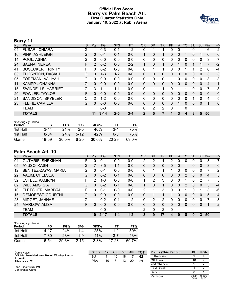# **Official Box Score Barry vs Palm Beach Atl. First Quarter Statistics Only January 19, 2022 at Rubin Arena**



# **Barry 11**

| No. | Plaver                    | S | <b>Pts</b> | <b>FG</b> | 3FG     | <b>FT</b> | <b>OR</b>    | DR.      | <b>TR</b> | <b>PF</b> | A            | TO           | <b>BIK</b> | Stl          | Min            | $+/-$        |
|-----|---------------------------|---|------------|-----------|---------|-----------|--------------|----------|-----------|-----------|--------------|--------------|------------|--------------|----------------|--------------|
| 04  | <b>FUSARI, CHIARA</b>     | G |            | $0 - 3$   | $0 - 1$ | $1 - 2$   | 0            |          |           | 0         | 0            |              |            |              | 6              | $-2$         |
| 10  | PINK, ASHLEIGH            | G | 0          | $0 - 1$   | $0 - 1$ | $0 - 0$   |              | $\Omega$ |           | 0         | $\mathbf{0}$ |              | 0          |              | 6              | $\mathbf 0$  |
| 14  | POOL, ASHIA               | G | 0          | $0 - 0$   | $0 - 0$ | $0-0$     | 0            | 0        | 0         | 0         | 0            | 0            | 0          | 0            | 3              | $-7$         |
| 24  | <b>BAENA, NEREA</b>       | F | 2          | $0 - 2$   | $0 - 0$ | $2 - 2$   |              | $\Omega$ | 1         | 0         |              | $\mathbf{0}$ |            |              |                | $-2$         |
| 41  | <b>BOSECKER, TRINITY</b>  | F | 0          | $0 - 2$   | $0 - 0$ | $0-0$     | 0            | 1        | 1         | 0         | 0            |              |            | 2            | 6              | $-4$         |
| 03  | <b>THORNTON, DASIAH</b>   | G | 3          | $1 - 3$   | $1 - 2$ | $0 - 0$   | $\mathbf{0}$ | $\Omega$ | 0         | 0         | $\mathbf{0}$ | $\mathbf{0}$ | 0          | $\mathbf{0}$ | 3              | 3            |
| 05  | FOREMAN, AALIYAH          | G | 0          | $0 - 0$   | $0 - 0$ | $0 - 0$   | 0            | 0        | 0         | 1         | 0            | $\Omega$     | 0          | 0            | 3              | 3            |
| 11  | KAMPP, JOHANNA            | G | $\Omega$   | $0 - 0$   | $0 - 0$ | $0 - 0$   | $\Omega$     | $\Omega$ | $\Omega$  | 0         | $\mathbf{0}$ | $\Omega$     | $\Omega$   | $\Omega$     | $\overline{4}$ | 1            |
| 15  | <b>SWINDELLS, HARRIET</b> | G | 3          | $1 - 1$   | $1 - 1$ | $0-0$     | 0            | 1        | 1         | 0         | 1            |              | 0          | $\Omega$     | 7              | 8            |
| 20  | <b>FOWLER, TAYLOR</b>     | F | 0          | $0 - 0$   | $0 - 0$ | $0 - 0$   | $\Omega$     | $\Omega$ | 0         | $\Omega$  | $\mathbf{0}$ | $\Omega$     | $\Omega$   | $\Omega$     | $\Omega$       | $\mathbf{0}$ |
| 21  | SANDISON, SKYELER         | C | 2          | $1 - 2$   | $0 - 0$ | $0 - 0$   | 0            | $\Omega$ | 0         | 0         | 0            | $\Omega$     | 1          | $\Omega$     | 4              | 5            |
| 23  | FLEFIL, CAMILLA           | G | $\Omega$   | $0 - 0$   | $0 - 0$ | $0 - 0$   | $\Omega$     | $\Omega$ | $\Omega$  | $\Omega$  |              | $\Omega$     | $\Omega$   | $\Omega$     | 1              | $\mathbf{0}$ |
|     | <b>TEAM</b>               |   |            | $0 - 0$   |         |           | $\Omega$     | 2        | 2         | 0         |              | 0            |            |              |                |              |
|     | <b>TOTALS</b>             |   | 11         | $3 - 14$  | $2 - 5$ | $3 - 4$   | $\mathbf{2}$ | 5        | 7         |           | 3            | 4            | 3          | 5            | 50             |              |

| <b>Shooting By Period</b><br>Period | FG       | FG%   | 3FG     | 3FG%  | FT        | FT%   |
|-------------------------------------|----------|-------|---------|-------|-----------|-------|
| 1st Half                            | $3 - 14$ | 21%   | $2 - 5$ | 40%   | $3-4$     | 75%   |
| 1st Half                            | 8-34     | 24%   | $5-12$  | 42%   | հ-8       | 75%   |
| Game                                | 18-59    | 30.5% | $6-20$  | 30.0% | $20 - 29$ | 69.0% |

# **Palm Beach Atl. 10**

| No. | Plaver                   | S  | Pts      | <b>FG</b> | 3FG     | <b>FT</b> | <b>OR</b> | <b>DR</b> | TR             | PF | A            | TO       | <b>B</b> lk | Stl          | Min | $+/-$        |
|-----|--------------------------|----|----------|-----------|---------|-----------|-----------|-----------|----------------|----|--------------|----------|-------------|--------------|-----|--------------|
| 04  | <b>GUTHRIE, SHEKINAH</b> | F  | 0        | $0 - 1$   | $0 - 0$ | $0-0$     | 2         | 2         | 4              | 2  | 0            |          | 0           | 0            | 3   |              |
| 05  | AYUSO, KASH              | G  |          | $3 - 5$   | $1 - 1$ | $0 - 0$   | 0         | 0         | 0              | 0  | $\mathbf{0}$ |          | 0           | $\mathbf{0}$ | 8   | $\mathbf{0}$ |
| 12  | BENITEZ-ZAYAS, MARIA     | G  | $\Omega$ | $0 - 1$   | $0 - 0$ | $0 - 0$   | 0         |           | 1              |    | 0            | 0        | 0           | 0            |     | 2            |
| 22  | AALIM, CHELSEA           | G  | $\Omega$ | $0 - 2$   | $0 - 1$ | $0 - 0$   | $\Omega$  | 0         | 0              | 0  | $\mathbf{0}$ | 2        | 0           | $\mathbf{0}$ | 4   | 5            |
| 32  | <b>ESTELL, KAMRYN</b>    | F  | 2        | $1 - 3$   | $0 - 0$ | $0-0$     | 1         | 2         | 3              | 0  | 0            |          | 0           | 2            | 7   | 5            |
| 02  | <b>WILLIAMS, SIA</b>     | G  | $\Omega$ | $0 - 2$   | $0 - 1$ | $0 - 0$   |           | 0         | 1.             | 0  | $\Omega$     | 2        | $\Omega$    | $\Omega$     | 5   | $-4$         |
| 10  | FLETCHER, MARIYAH        | F. | 0        | $0 - 1$   | $0 - 0$ | $0 - 0$   | 2         |           | 3              | 0  | 0            |          | 0           |              | 3   | -6           |
| 15  | DEMOREST, COURTNI        | G  | 0        | $0 - 0$   | $0 - 0$ | $0 - 0$   | 0         |           | $\mathbf 1$    |    | 0            | $\Omega$ | 0           | $\Omega$     | 5   | $-4$         |
| 23  | MIDGET, JAHNAE           | G  |          | $0 - 2$   | $0 - 1$ | $1 - 2$   | 0         | 2         | 2              | 0  | 0            | ∩        | 0           | 0            |     | -8           |
| 24  | <b>MARLOW, ALISA</b>     | F. | $\Omega$ | $0 - 0$   | $0 - 0$ | $0 - 0$   | $\Omega$  | 0         | 0              | 0  | $\mathbf{0}$ | $\Omega$ | $\Omega$    | $\Omega$     | 1   | $-2$         |
|     | <b>TEAM</b>              |    |          | $0 - 0$   |         |           | 2         | 0         | $\overline{2}$ | 0  |              | 1        |             |              |     |              |
|     | <b>TOTALS</b>            |    | 10       | $4 - 17$  | $1 - 4$ | $1 - 2$   | 8         | 9         | 17             | 4  | 0            | 8        | 0           | 3            | 50  |              |

| <b>Shooting By Period</b><br>Period | FG    | FG%   | 3FG      | 3FG%  | FТ      | FT%   |
|-------------------------------------|-------|-------|----------|-------|---------|-------|
| 1st Half                            | 4-17  | 24%   | 1-4      | 25%   | $1-2$   | 50%   |
| 1st Half                            | 7-30  | 23%   | 1-9      | 11%   | $3 - 7$ | 43%   |
| Game                                | 16-54 | 29.6% | $2 - 15$ | 13.3% | 17-28   | 60.7% |

| Game Notes:                                                     | <b>Score</b> | 1st. | 2nd | 3rd | 4th | <b>TOT</b> | <b>Points (This Period)</b> | <b>BU</b>     | <b>PBA</b>    |
|-----------------------------------------------------------------|--------------|------|-----|-----|-----|------------|-----------------------------|---------------|---------------|
| Officials: Jose Medrano, Mevett Wooley, Lacca<br><b>Bromell</b> | BL           | 11   | 16  | 18  |     | 62         | In the Paint                |               |               |
| Attendance: 62                                                  | PBA          | 10   |     | 13  | 20  | 51         | Off Turns                   |               |               |
|                                                                 |              |      |     |     |     |            | 2nd Chance                  |               |               |
| Start Time: 10:30 PM<br>Conference Game:                        |              |      |     |     |     |            | <b>Fast Break</b>           |               |               |
|                                                                 |              |      |     |     |     |            | Bench                       |               |               |
|                                                                 |              |      |     |     |     |            | Per Poss                    | 0.61'<br>5/18 | 0.500<br>5/20 |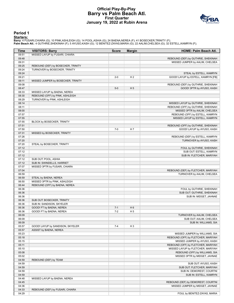# **Official Play-By-Play Barry vs Palm Beach Atl. First Quarter January 19, 2022 at Rubin Arena**



#### **Period 1**

<mark>Starters:</mark><br>Barry: 4 FUSARI,CHIARA (G); 10 PINK,ASHLEIGH (G); 14 POOL,ASHIA (G); 24 BAENA,NEREA (F); 41 BOSECKER,TRINITY (F);<br>Palm Beach Atl.: 4 GUTHRIE,SHEKINAH (F); 5 AYUSO,KASH (G); 12 BENITEZ-ZAYAS,MARIA (G); 22 AALIM,

| Time           | <b>VISITORS: Barry</b>             | <b>Score</b> | <b>Margin</b>  | HOME: Palm Beach Atl.                                            |
|----------------|------------------------------------|--------------|----------------|------------------------------------------------------------------|
| 09:51          | MISSED LAYUP by FUSARI, CHIARA     |              |                |                                                                  |
| 09:48          |                                    |              |                | REBOUND (DEF) by GUTHRIE, SHEKINAH                               |
| 09:31          |                                    |              |                | MISSED JUMPER by AALIM, CHELSEA                                  |
| 09:25          | REBOUND (DEF) by BOSECKER, TRINITY |              |                |                                                                  |
| 09:24          | TURNOVER by BOSECKER, TRINITY      |              |                |                                                                  |
| 09:24          |                                    |              |                | STEAL by ESTELL, KAMRYN                                          |
| 09:21          |                                    | $2 - 0$      | H <sub>2</sub> | GOOD! LAYUP by ESTELL, KAMRYN [FB]                               |
| 09:11          | MISSED JUMPER by BOSECKER, TRINITY |              |                |                                                                  |
| 09:08          |                                    |              |                | REBOUND (DEF) by GUTHRIE, SHEKINAH                               |
| 08:47          |                                    | $5-0$        | H <sub>5</sub> | GOOD! 3PTR by AYUSO, KASH                                        |
| 08:33          | MISSED LAYUP by BAENA, NEREA       |              |                |                                                                  |
| 08:30          | REBOUND (OFF) by PINK, ASHLEIGH    |              |                |                                                                  |
| 08:29          | TURNOVER by PINK, ASHLEIGH         |              |                |                                                                  |
| 08:14          |                                    |              |                | MISSED LAYUP by GUTHRIE, SHEKINAH                                |
| 08:11          |                                    |              |                | REBOUND (OFF) by GUTHRIE, SHEKINAH                               |
| 08:00          |                                    |              |                | MISSED 3PTR by AALIM, CHELSEA                                    |
| 07:57          |                                    |              |                | REBOUND (OFF) by ESTELL, KAMRYN                                  |
| 07:55          |                                    |              |                | MISSED LAYUP by ESTELL, KAMRYN                                   |
| 07:55          | BLOCK by BOSECKER, TRINITY         |              |                |                                                                  |
| 07:51          |                                    |              |                | REBOUND (OFF) by GUTHRIE, SHEKINAH                               |
| 07:50          |                                    | $7 - 0$      | H 7            | GOOD! LAYUP by AYUSO, KASH                                       |
| 07:31          | MISSED by BOSECKER, TRINITY        |              |                |                                                                  |
| 07:26          |                                    |              |                | REBOUND (DEF) by ESTELL, KAMRYN                                  |
| 07:20          |                                    |              |                | TURNOVER by AYUSO, KASH                                          |
| 07:20          | STEAL by BOSECKER, TRINITY         |              |                |                                                                  |
| 07:12          |                                    |              |                | FOUL by GUTHRIE, SHEKINAH                                        |
| 07:12          |                                    |              |                | SUB OUT: ESTELL, KAMRYN                                          |
| 07:12          |                                    |              |                | SUB IN: FLETCHER, MARIYAH                                        |
| 07:12<br>07:12 | SUB OUT: POOL, ASHIA               |              |                |                                                                  |
| 07:07          | SUB IN: SWINDELLS, HARRIET         |              |                |                                                                  |
| 07:04          | MISSED 3PTR by FUSARI, CHIARA      |              |                |                                                                  |
| 06:59          |                                    |              |                | REBOUND (DEF) by FLETCHER, MARIYAH<br>TURNOVER by AALIM, CHELSEA |
| 06:59          | STEAL by BAENA, NEREA              |              |                |                                                                  |
| 06:50          | MISSED 3PTR by PINK, ASHLEIGH      |              |                |                                                                  |
| 06:44          | REBOUND (OFF) by BAENA, NEREA      |              |                |                                                                  |
| 06:36          |                                    |              |                | FOUL by GUTHRIE, SHEKINAH                                        |
| 06:36          |                                    |              |                | SUB OUT: GUTHRIE, SHEKINAH                                       |
| 06:36          |                                    |              |                | SUB IN: MIDGET, JAHNAE                                           |
| 06:36          | SUB OUT: BOSECKER, TRINITY         |              |                |                                                                  |
| 06:36          | SUB IN: SANDISON, SKYELER          |              |                |                                                                  |
| 06:36          | GOOD! FT by BAENA, NEREA           | $7 - 1$      | H <sub>6</sub> |                                                                  |
| 06:36          | GOOD! FT by BAENA, NEREA           | $7 - 2$      | H <sub>5</sub> |                                                                  |
| 06:09          |                                    |              |                | TURNOVER by AALIM, CHELSEA                                       |
| 06:09          |                                    |              |                | SUB OUT: AALIM, CHELSEA                                          |
| 06:09          |                                    |              |                | SUB IN: WILLIAMS, SIA                                            |
| 05:57          | GOOD! LAYUP by SANDISON, SKYELER   | $7 - 4$      | H <sub>3</sub> |                                                                  |
| 05:57          | ASSIST by BAENA, NEREA             |              |                |                                                                  |
| 05:23          |                                    |              |                | MISSED JUMPER by WILLIAMS, SIA                                   |
| 05:18          |                                    |              |                | REBOUND (OFF) by FLETCHER, MARIYAH                               |
| 05:15          |                                    |              |                | MISSED JUMPER by AYUSO, KASH                                     |
| 05:11          |                                    |              |                | REBOUND (OFF) by FLETCHER, MARIYAH                               |
| 05:10          |                                    |              |                | MISSED LAYUP by FLETCHER, MARIYAH                                |
| 05:08          |                                    |              |                | REBOUND (OFF) by WILLIAMS, SIA                                   |
| 05:02          |                                    |              |                | MISSED 3PTR by MIDGET, JAHNAE                                    |
| 04:59          | REBOUND (DEF) by TEAM              |              |                |                                                                  |
| 04:59          |                                    |              |                | SUB OUT: AYUSO, KASH                                             |
| 04:59          |                                    |              |                | SUB OUT: FLETCHER, MARIYAH                                       |
| 04:59          |                                    |              |                | SUB IN: DEMOREST, COURTNI                                        |
| 04:59          |                                    |              |                | SUB IN: ESTELL, KAMRYN                                           |
| 04:48          | MISSED LAYUP by BAENA, NEREA       |              |                |                                                                  |
| 04:45          |                                    |              |                | REBOUND (DEF) by DEMOREST, COURTNI                               |
| 04:36          |                                    |              |                | MISSED JUMPER by MIDGET, JAHNAE                                  |
| 04:33          | REBOUND (DEF) by FUSARI, CHIARA    |              |                |                                                                  |
| 04:29          |                                    |              |                | FOUL by BENITEZ-ZAYAS, MARIA                                     |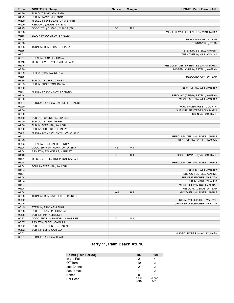| <b>Time</b>    | <b>VISITORS: Barry</b>              | <b>Score</b> | <b>Margin</b>  | <b>HOME: Palm Beach Atl.</b>                                            |
|----------------|-------------------------------------|--------------|----------------|-------------------------------------------------------------------------|
| 04:29          | SUB OUT: PINK, ASHLEIGH             |              |                |                                                                         |
| 04:29          | SUB IN: KAMPP, JOHANNA              |              |                |                                                                         |
| 04:29          | MISSED FT by FUSARI, CHIARA [FB]    |              |                |                                                                         |
| 04:29          | REBOUND (DEADB) by TEAM             |              |                |                                                                         |
| 04:29          | GOOD! FT by FUSARI, CHIARA [FB]     | $7 - 5$      | H <sub>2</sub> |                                                                         |
| 03:58          |                                     |              |                | MISSED LAYUP by BENITEZ-ZAYAS, MARIA                                    |
| 03:58          | BLOCK by SANDISON, SKYELER          |              |                |                                                                         |
| 03:58          |                                     |              |                | REBOUND (OFF) by TEAM                                                   |
| 03:58          |                                     |              |                | TURNOVER by TEAM                                                        |
| 03:55          | TURNOVER by FUSARI, CHIARA          |              |                |                                                                         |
| 03:55          |                                     |              |                | STEAL by ESTELL, KAMRYN                                                 |
| 03:51          |                                     |              |                | TURNOVER by WILLIAMS, SIA                                               |
| 03:51          | STEAL by FUSARI, CHIARA             |              |                |                                                                         |
| 03:48<br>03:46 | MISSED LAYUP by FUSARI, CHIARA      |              |                |                                                                         |
| 03:39          |                                     |              |                | REBOUND (DEF) by BENITEZ-ZAYAS, MARIA<br>MISSED LAYUP by ESTELL, KAMRYN |
| 03:39          | BLOCK by BAENA, NEREA               |              |                |                                                                         |
| 03:35          |                                     |              |                | REBOUND (OFF) by TEAM                                                   |
| 03:35          | SUB OUT: FUSARI, CHIARA             |              |                |                                                                         |
| 03:35          | SUB IN: THORNTON, DASIAH            |              |                |                                                                         |
| 03:30          |                                     |              |                | TURNOVER by WILLIAMS, SIA                                               |
| 03:17          | MISSED by SANDISON, SKYELER         |              |                |                                                                         |
| 03:14          |                                     |              |                | REBOUND (DEF) by ESTELL, KAMRYN                                         |
| 03:00          |                                     |              |                | MISSED 3PTR by WILLIAMS, SIA                                            |
| 02:57          | REBOUND (DEF) by SWINDELLS, HARRIET |              |                |                                                                         |
| 02:50          |                                     |              |                | FOUL by DEMOREST, COURTNI                                               |
| 02:50          |                                     |              |                | SUB OUT: BENITEZ-ZAYAS, MARIA                                           |
| 02:50          |                                     |              |                | SUB IN: AYUSO, KASH                                                     |
| 02:50          | SUB OUT: SANDISON, SKYELER          |              |                |                                                                         |
| 02:50          | SUB OUT: BAENA, NEREA               |              |                |                                                                         |
| 02:50          | SUB IN: FOREMAN, AALIYAH            |              |                |                                                                         |
| 02:50          | SUB IN: BOSECKER, TRINITY           |              |                |                                                                         |
| 02:48          | MISSED LAYUP by THORNTON, DASIAH    |              |                |                                                                         |
| 02:43          |                                     |              |                | REBOUND (DEF) by MIDGET, JAHNAE                                         |
| 02:23          |                                     |              |                | TURNOVER by ESTELL, KAMRYN                                              |
| 02:23          | STEAL by BOSECKER, TRINITY          |              |                |                                                                         |
| 02:04          | GOOD! 3PTR by THORNTON, DASIAH      | $7 - 8$      | V <sub>1</sub> |                                                                         |
| 02:04          | ASSIST by SWINDELLS, HARRIET        |              |                |                                                                         |
| 01:40          |                                     | $9 - 8$      | H <sub>1</sub> | GOOD! JUMPER by AYUSO, KASH                                             |
| 01:21          | MISSED 3PTR by THORNTON, DASIAH     |              |                |                                                                         |
| 01:18          |                                     |              |                | REBOUND (DEF) by MIDGET, JAHNAE                                         |
| 01:04          | FOUL by FOREMAN, AALIYAH            |              |                |                                                                         |
| 01:04          |                                     |              |                | SUB OUT: WILLIAMS, SIA                                                  |
| 01:04          |                                     |              |                | SUB OUT: ESTELL, KAMRYN                                                 |
| 01:04          |                                     |              |                | SUB IN: FLETCHER, MARIYAH                                               |
| 01:04<br>01:04 |                                     |              |                | SUB IN: MARLOW, ALISA<br>MISSED FT by MIDGET, JAHNAE                    |
| 01:04          |                                     |              |                | REBOUND (DEADB) by TEAM                                                 |
| 01:04          |                                     | $10 - 8$     | H <sub>2</sub> | GOOD! FT by MIDGET, JAHNAE                                              |
| 00:50          | TURNOVER by SWINDELLS, HARRIET      |              |                |                                                                         |
| 00:50          |                                     |              |                | STEAL by FLETCHER, MARIYAH                                              |
| 00:45          |                                     |              |                | TURNOVER by FLETCHER, MARIYAH                                           |
| 00:45          | STEAL by PINK, ASHLEIGH             |              |                |                                                                         |
| 00:38          | SUB OUT: KAMPP, JOHANNA             |              |                |                                                                         |
| 00:38          | SUB IN: PINK, ASHLEIGH              |              |                |                                                                         |
| 00:37          | GOOD! 3PTR by SWINDELLS, HARRIET    | $10 - 11$    | V <sub>1</sub> |                                                                         |
| 00:37          | ASSIST by FLEFIL, CAMILLA           |              |                |                                                                         |
| 00:32          | SUB OUT: THORNTON, DASIAH           |              |                |                                                                         |
| 00:32          | SUB IN: FLEFIL, CAMILLA             |              |                |                                                                         |
| 00:02          |                                     |              |                | MISSED JUMPER by AYUSO, KASH                                            |
| 00:01          | REBOUND (DEF) by TEAM               |              |                |                                                                         |

# **Barry 11, Palm Beach Atl. 10**

| <b>Points (This Period)</b> | BU            | PBA           |
|-----------------------------|---------------|---------------|
| In the Paint                |               |               |
| Off Turns                   | 10            |               |
| 2nd Chance                  |               |               |
| <b>Fast Break</b>           |               |               |
| Bench                       |               |               |
| Per Poss                    | 0.611<br>5/18 | 0.500<br>5/20 |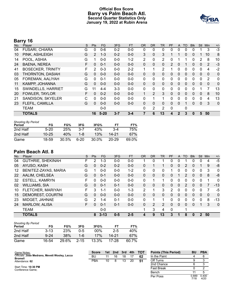# **Official Box Score Barry vs Palm Beach Atl. Second Quarter Statistics Only January 19, 2022 at Rubin Arena**



# **Barry 16**

| No. | Player                   | S | <b>Pts</b>     | <b>FG</b> | 3FG     | <b>FT</b> | <b>OR</b>    | DR.          | TR             | <b>PF</b> | A            | TO           | <b>BIK</b> | Stl          | Min          | $+/-$        |
|-----|--------------------------|---|----------------|-----------|---------|-----------|--------------|--------------|----------------|-----------|--------------|--------------|------------|--------------|--------------|--------------|
| 04  | <b>FUSARI, CHIARA</b>    | G | 0              | $0 - 6$   | $0 - 2$ | $0-0$     | 0            | 0            | 0              | 0         | 0            | $\Omega$     | 0          |              | 3            | $-3$         |
| 10  | PINK, ASHLEIGH           | G | $\overline{2}$ | $1 - 3$   | $0 - 2$ | $0 - 0$   | 3            | $\Omega$     | 3              |           |              | $\mathbf{0}$ | 0          |              | 10           | 8            |
| 14  | POOL, ASHIA              | G |                | $0 - 0$   | $0 - 0$ | $1 - 2$   | 2            | $\mathbf{0}$ | 2              | 0         |              |              | 0          | 2            | 8            | 10           |
| 24  | <b>BAENA, NEREA</b>      | F | 0              | $0 - 1$   | $0 - 0$ | $0 - 0$   | $\mathbf{0}$ | 0            | 0              | 2         | 0            |              | 0          | 0            | 2            | $-3$         |
| 41  | <b>BOSECKER, TRINITY</b> | F | 2              | $0 - 3$   | $0 - 0$ | $2 - 2$   | 1            |              | $\overline{2}$ |           | 0            | 0            | 0          | 0            | 4            | $-2$         |
| 03  | THORNTON, DASIAH         | G | $\Omega$       | $0 - 0$   | $0 - 0$ | $0 - 0$   | $\mathbf{0}$ | 0            | 0              | 0         | $\mathbf{0}$ | $\mathbf{0}$ | 0          | $\mathbf{0}$ | 0            | $\mathbf 0$  |
| 05  | FOREMAN, AALIYAH         | G | 0              | $0 - 1$   | $0 - 0$ | $0 - 0$   | 0            | 0            | 0              | 0         | 0            | 0            | 0          | $\Omega$     | 2            | 0            |
| 11  | KAMPP, JOHANNA           | G | 0              | $0 - 0$   | $0 - 0$ | $0 - 0$   | $\mathbf{0}$ | 0            | 0              | 0         | $\mathbf{0}$ | $\Omega$     | 0          | $\mathbf{0}$ | $\mathbf{0}$ | $\mathbf{0}$ |
| 15  | SWINDELLS, HARRIET       | G | 11             | $4 - 4$   | $3-3$   | $0 - 0$   | 0            | 0            | 0              | 0         | 0            | 0            | 0          |              |              | 13           |
| 20  | <b>FOWLER, TAYLOR</b>    | F | 0              | $0 - 2$   | $0 - 0$ | $0 - 0$   |              | 2            | 3              | 0         | $\mathbf{0}$ | $\mathbf{0}$ | 0          | $\Omega$     | 8            | 10           |
| 21  | SANDISON, SKYELER        | C | 0              | $0 - 0$   | $0 - 0$ | $0 - 0$   | 0            |              | 1              | 0         | 0            | 0            | 0          | $\Omega$     | 4            | 13           |
| 23  | FLEFIL, CAMILLA          | G | $\Omega$       | $0 - 0$   | $0 - 0$ | $0 - 0$   | $\mathbf{0}$ | 0            | 0              | 0         | $\Omega$     |              | 0          | $\Omega$     | 3            | $\mathbf 0$  |
|     | TEAM                     |   |                | $0 - 0$   |         |           | 0            | 2            | 2              | 0         |              | $\mathbf 0$  |            |              |              |              |
|     | <b>TOTALS</b>            |   | 16             | $5 - 20$  | $3 - 7$ | $3 - 4$   | 7            | 6            | 13             | 4         | $\mathbf{2}$ | 3            | 0          | 5            | 50           |              |

| <b>Shooting By Period</b><br>Period | FG        | FG%   | 3FG     | 3FG%  | FТ        | FT%   |
|-------------------------------------|-----------|-------|---------|-------|-----------|-------|
| 2nd Half                            | $5-20$    | 25%   | $3 - 7$ | 43%   | $3-4$     | 75%   |
| 2nd Half                            | $10 - 25$ | 40%   | $1 - 8$ | 13%   | 14-21     | 67%   |
| Game                                | 18-59     | 30.5% | $6-20$  | 30.0% | $20 - 29$ | 69.0% |

# **Palm Beach Atl. 8**

| No. | Plaver                   | S  | Pts      | FG.      | 3FG     | <b>FT</b> | <b>OR</b> | <b>DR</b> | TR             | PF | A            | TO       | <b>BIK</b> | Stl      | Min | $+/-$          |
|-----|--------------------------|----|----------|----------|---------|-----------|-----------|-----------|----------------|----|--------------|----------|------------|----------|-----|----------------|
| 04  | <b>GUTHRIE, SHEKINAH</b> | F  |          | 1-3      | $0 - 0$ | $0-0$     |           | 0         |                | 0  | 0            |          | 0          | 0        | 4   | $-5$           |
| 05  | AYUSO, KASH              | G  | $\Omega$ | $0 - 2$  | $0 - 2$ | $0 - 0$   | 0         |           | $\mathbf{1}$   | 0  | $\mathbf{0}$ | 2        | 0          |          | 9   | -8             |
| 12  | BENITEZ-ZAYAS, MARIA     | G  |          | $0 - 0$  | $0 - 0$ | $1 - 2$   | 0         | 0         | 0              |    | 0            | 0        | 0          | 0        | 3   | 0              |
| 22  | AALIM, CHELSEA           | G  | $\Omega$ | $0 - 1$  | $0 - 0$ | $0 - 0$   | 0         | 0         | 0              | 0  |              | 2        | 0          | $\Omega$ | 8   | -8             |
| 32  | <b>ESTELL, KAMRYN</b>    | F  | 0        | $0 - 0$  | $0 - 0$ | $0-0$     | 0         | 1         | 1              | 0  | 0            | 0        | 0          | $\Omega$ |     | 0              |
| 02  | <b>WILLIAMS, SIA</b>     | G  | $\Omega$ | $0 - 1$  | 0-1     | $0 - 0$   | 0         | 0         | 0              | 0  | $\Omega$     | 2        | 0          | $\Omega$ |     | $-13$          |
| 10  | FLETCHER, MARIYAH        | F. | 3        | 1-1      | $0 - 0$ | $1 - 3$   | 2         | 1         | 3              | 2  | 0            | 0        | 0          | 0        |     | -5             |
| 15  | DEMOREST, COURTNI        | G  | $\Omega$ | $0 - 0$  | $0 - 0$ | $0 - 0$   | 0         | $\Omega$  | 0              | 0  | $\Omega$     | $\Omega$ | 0          | $\Omega$ | 0   | $\Omega$       |
| 23  | MIDGET, JAHNAE           | G  | っ        | $1 - 4$  | $0 - 1$ | $0-0$     | $\Omega$  | 1         | 1              | 0  | 0            | $\Omega$ | 0          | $\Omega$ | 8   | $-13$          |
| 24  | <b>MARLOW, ALISA</b>     | F  | $\Omega$ | $0 - 1$  | $0 - 1$ | $0 - 0$   | 0         | 2         | $\overline{2}$ | 0  | $\Omega$     | $\Omega$ | $\Omega$   |          | 3   | $\overline{0}$ |
|     | <b>TEAM</b>              |    |          | $0 - 0$  |         |           |           | 3         | 4              | 0  |              | 1        |            |          |     |                |
|     | <b>TOTALS</b>            |    | 8        | $3 - 13$ | $0 - 5$ | $2 - 5$   | 4         | 9         | 13             | 3  | 1            | 8        | 0          | 2        | 50  |                |

| <b>Shooting By Period</b><br>Period | FG       | FG%   | 3FG      | 3FG%   | FТ      | FT%   |
|-------------------------------------|----------|-------|----------|--------|---------|-------|
| 2nd Half                            | $3 - 13$ | 23%   | 0-5      | $00\%$ | $2 - 5$ | 40%   |
| 2nd Half                            | $9 - 24$ | 38%   | $1 - 6$  | 17%    | 14-21   | 67%   |
| Game                                | 16-54    | 29.6% | $2 - 15$ | 13.3%  | 17-28   | 60.7% |

| Game Notes:                                                     | <b>Score</b> | 1st. | 2nd | 3rd | 4th | <b>TOT</b> | <b>Points (This Period)</b> | BU            | <b>PBA</b>    |
|-----------------------------------------------------------------|--------------|------|-----|-----|-----|------------|-----------------------------|---------------|---------------|
| Officials: Jose Medrano, Mevett Wooley, Lacca<br><b>Bromell</b> | BU           | 11   | 16  | 18  |     | 62         | In the Paint                |               |               |
| Attendance: 62                                                  | PBA          | 10   |     | 13  | 20  | 51         | Off Turns                   |               |               |
|                                                                 |              |      |     |     |     |            | 2nd Chance                  |               |               |
| Start Time: 10:30 PM<br>Conference Game;                        |              |      |     |     |     |            | <b>Fast Break</b>           |               |               |
|                                                                 |              |      |     |     |     |            | Bench                       |               |               |
|                                                                 |              |      |     |     |     |            | Per Poss                    | 0.889<br>7/18 | 0.400<br>4/20 |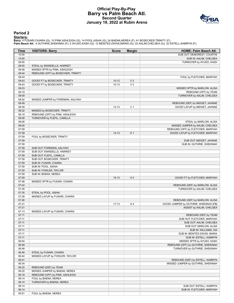# **Official Play-By-Play Barry vs Palm Beach Atl. Second Quarter January 19, 2022 at Rubin Arena**



### **Period 2**

<mark>Starters:</mark><br>Barry: 4 FUSARI,CHIARA (G); 10 PINK,ASHLEIGH (G); 14 POOL,ASHIA (G); 24 BAENA,NEREA (F); 41 BOSECKER,TRINITY (F);<br>Palm Beach Atl.: 4 GUTHRIE,SHEKINAH (F); 5 AYUSO,KASH (G); 12 BENITEZ-ZAYAS,MARIA (G); 22 AALIM,

| Time           | <b>VISITORS: Barry</b>                                 | <b>Score</b> | <b>Margin</b>  | HOME: Palm Beach Atl.                  |
|----------------|--------------------------------------------------------|--------------|----------------|----------------------------------------|
| 10:00          |                                                        |              |                | SUB OUT: DEMOREST, COURTNI             |
| 10:00          |                                                        |              |                | SUB IN: AALIM, CHELSEA                 |
| 09:55          |                                                        |              |                | TURNOVER by AYUSO, KASH                |
| 09:55          | STEAL by SWINDELLS, HARRIET                            |              |                |                                        |
| 09:48          | MISSED 3PTR by PINK, ASHLEIGH                          |              |                |                                        |
| 09:44          | REBOUND (OFF) by BOSECKER, TRINITY                     |              |                |                                        |
| 09:43          |                                                        |              |                | FOUL by FLETCHER, MARIYAH              |
| 09:43          | GOOD! FT by BOSECKER, TRINITY                          | $10 - 12$    | V <sub>2</sub> |                                        |
| 09:43          | GOOD! FT by BOSECKER, TRINITY                          | $10-13$      | $V_3$          |                                        |
| 09:23          |                                                        |              |                | MISSED 3PTR by MARLOW, ALISA           |
| 09:19          |                                                        |              |                | REBOUND (OFF) by TEAM                  |
| 09:09<br>08:52 | MISSED JUMPER by FOREMAN, AALIYAH                      |              |                | TURNOVER by AALIM, CHELSEA             |
| 08:49          |                                                        |              |                | REBOUND (DEF) by MIDGET, JAHNAE        |
| 08:39          |                                                        | $12 - 13$    | V <sub>1</sub> | GOOD! LAYUP by MIDGET, JAHNAE          |
| 08:22          | MISSED by BOSECKER, TRINITY                            |              |                |                                        |
| 08:19          | REBOUND (OFF) by PINK, ASHLEIGH                        |              |                |                                        |
| 08:08          | TURNOVER by FLEFIL, CAMILLA                            |              |                |                                        |
| 08:08          |                                                        |              |                | STEAL by MARLOW, ALISA                 |
| 08:00          |                                                        |              |                | MISSED JUMPER by AALIM, CHELSEA        |
| 07:59          |                                                        |              |                | REBOUND (OFF) by FLETCHER, MARIYAH     |
| 07:59          |                                                        | $14-13$      | H <sub>1</sub> | GOOD! LAYUP by FLETCHER, MARIYAH       |
| 07:59          | FOUL by BOSECKER, TRINITY                              |              |                |                                        |
| 07:59          |                                                        |              |                | SUB OUT: MIDGET, JAHNAE                |
| 07:59          |                                                        |              |                | SUB IN: GUTHRIE, SHEKINAH              |
| 07:59          | SUB OUT: FOREMAN, AALIYAH                              |              |                |                                        |
| 07:59          | SUB OUT: SWINDELLS, HARRIET                            |              |                |                                        |
| 07:59          | SUB OUT: FLEFIL, CAMILLA                               |              |                |                                        |
| 07:59          | SUB OUT: BOSECKER, TRINITY                             |              |                |                                        |
| 07:59          | SUB IN: FUSARI, CHIARA                                 |              |                |                                        |
| 07:59          | SUB IN: POOL, ASHIA                                    |              |                |                                        |
| 07:59          | SUB IN: FOWLER, TAYLOR                                 |              |                |                                        |
| 07:59          | SUB IN: BAENA, NEREA                                   |              |                |                                        |
| 07:59          |                                                        | $15 - 13$    | H <sub>2</sub> | GOOD! FT by FLETCHER, MARIYAH          |
| 07:46          | MISSED 3PTR by FUSARI, CHIARA                          |              |                |                                        |
| 07:42          |                                                        |              |                | REBOUND (DEF) by MARLOW, ALISA         |
| 07:35          |                                                        |              |                | TURNOVER by AALIM, CHELSEA             |
| 07:35<br>07:28 | STEAL by POOL, ASHIA<br>MISSED LAYUP by FUSARI, CHIARA |              |                |                                        |
| 07:26          |                                                        |              |                | REBOUND (DEF) by MARLOW, ALISA         |
| 07:21          |                                                        | $17-13$      | H4             | GOOD! JUMPER by GUTHRIE, SHEKINAH [FB] |
| 07:21          |                                                        |              |                | ASSIST by AALIM, CHELSEA               |
| 07:13          | MISSED LAYUP by FUSARI, CHIARA                         |              |                |                                        |
| 07:11          |                                                        |              |                | REBOUND (DEF) by TEAM                  |
| 07:11          |                                                        |              |                | SUB OUT: FLETCHER, MARIYAH             |
| 07:11          |                                                        |              |                | SUB OUT: AALIM, CHELSEA                |
| 07:11          |                                                        |              |                | SUB OUT: MARLOW, ALISA                 |
| 07:11          |                                                        |              |                | SUB IN: WILLIAMS, SIA                  |
| 07:11          |                                                        |              |                | SUB IN: BENITEZ-ZAYAS, MARIA           |
| 07:11          |                                                        |              |                | SUB IN: ESTELL, KAMRYN                 |
| 06:54          |                                                        |              |                | MISSED 3PTR by AYUSO, KASH             |
| 06:49          |                                                        |              |                | REBOUND (OFF) by GUTHRIE, SHEKINAH     |
| 06:48          |                                                        |              |                | TURNOVER by GUTHRIE, SHEKINAH          |
| 06:48          | STEAL by FUSARI, CHIARA                                |              |                |                                        |
| 06:44          | MISSED LAYUP by FOWLER, TAYLOR                         |              |                |                                        |
| 06:41          |                                                        |              |                | REBOUND (DEF) by ESTELL, KAMRYN        |
| 06:34          |                                                        |              |                | MISSED JUMPER by GUTHRIE, SHEKINAH     |
| 06:32          | REBOUND (DEF) by TEAM                                  |              |                |                                        |
| 06:20          | MISSED JUMPER by BAENA, NEREA                          |              |                |                                        |
| 06:18          | REBOUND (OFF) by PINK, ASHLEIGH                        |              |                |                                        |
| 06:14          | FOUL by BAENA, NEREA                                   |              |                |                                        |
| 06:14          | TURNOVER by BAENA, NEREA                               |              |                |                                        |
| 06:14          |                                                        |              |                | SUB OUT: ESTELL, KAMRYN                |
| 06:14          | FOUL by BAENA, NEREA                                   |              |                | SUB IN: FLETCHER, MARIYAH              |
| 05:51          |                                                        |              |                |                                        |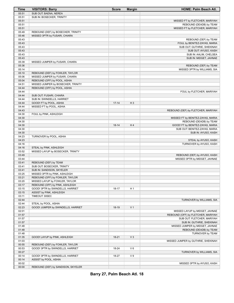| Time  | <b>VISITORS: Barry</b>             | <b>Score</b> | <b>Margin</b>  | <b>HOME: Palm Beach Atl.</b>       |
|-------|------------------------------------|--------------|----------------|------------------------------------|
| 05:51 | SUB OUT: BAENA, NEREA              |              |                |                                    |
| 05:51 | SUB IN: BOSECKER, TRINITY          |              |                |                                    |
| 05:51 |                                    |              |                | MISSED FT by FLETCHER, MARIYAH     |
| 05:51 |                                    |              |                | REBOUND (DEADB) by TEAM            |
| 05:51 |                                    |              |                | MISSED FT by FLETCHER, MARIYAH     |
| 05:49 | REBOUND (DEF) by BOSECKER, TRINITY |              |                |                                    |
| 05:46 | MISSED 3PTR by FUSARI, CHIARA      |              |                |                                    |
| 05:43 |                                    |              |                | REBOUND (DEF) by TEAM              |
| 05:43 |                                    |              |                | FOUL by BENITEZ-ZAYAS, MARIA       |
| 05:43 |                                    |              |                | SUB OUT: GUTHRIE, SHEKINAH         |
| 05:43 |                                    |              |                | SUB OUT: AYUSO, KASH               |
| 05:43 |                                    |              |                | SUB IN: AALIM, CHELSEA             |
| 05:43 |                                    |              |                | SUB IN: MIDGET, JAHNAE             |
| 05:39 | MISSED JUMPER by FUSARI, CHIARA    |              |                |                                    |
| 05:36 |                                    |              |                | REBOUND (DEF) by TEAM              |
| 05:14 |                                    |              |                | MISSED 3PTR by WILLIAMS, SIA       |
| 05:10 | REBOUND (DEF) by FOWLER, TAYLOR    |              |                |                                    |
| 05:06 | MISSED JUMPER by FUSARI, CHIARA    |              |                |                                    |
| 05:04 | REBOUND (OFF) by POOL, ASHIA       |              |                |                                    |
| 04:51 | MISSED JUMPER by BOSECKER, TRINITY |              |                |                                    |
| 04:44 | REBOUND (OFF) by POOL, ASHIA       |              |                |                                    |
| 04:44 |                                    |              |                | FOUL by FLETCHER, MARIYAH          |
| 04:44 | SUB OUT: FUSARI, CHIARA            |              |                |                                    |
| 04:44 | SUB IN: SWINDELLS, HARRIET         |              |                |                                    |
| 04:44 | GOOD! FT by POOL, ASHIA            | $17 - 14$    | $H_3$          |                                    |
| 04:44 | MISSED FT by POOL, ASHIA           |              |                |                                    |
| 04:43 |                                    |              |                | REBOUND (DEF) by FLETCHER, MARIYAH |
| 04:30 | FOUL by PINK, ASHLEIGH             |              |                |                                    |
| 04:30 |                                    |              |                | MISSED FT by BENITEZ-ZAYAS, MARIA  |
| 04:30 |                                    |              |                | REBOUND (DEADB) by TEAM            |
| 04:30 |                                    | $18-14$      | H4             | GOOD! FT by BENITEZ-ZAYAS, MARIA   |
| 04:30 |                                    |              |                | SUB OUT: BENITEZ-ZAYAS, MARIA      |
| 04:30 |                                    |              |                | SUB IN: AYUSO, KASH                |
| 04:23 | TURNOVER by POOL, ASHIA            |              |                |                                    |
| 04:23 |                                    |              |                | STEAL by AYUSO, KASH               |
| 04:16 |                                    |              |                | TURNOVER by AYUSO, KASH            |
| 04:16 | STEAL by PINK, ASHLEIGH            |              |                |                                    |
| 03:52 | MISSED LAYUP by BOSECKER, TRINITY  |              |                |                                    |
| 03:49 |                                    |              |                | REBOUND (DEF) by AYUSO, KASH       |
| 03:44 |                                    |              |                | MISSED 3PTR by MIDGET, JAHNAE      |
| 03:41 | REBOUND (DEF) by TEAM              |              |                |                                    |
| 03:41 | SUB OUT: BOSECKER, TRINITY         |              |                |                                    |
| 03:41 | SUB IN: SANDISON, SKYELER          |              |                |                                    |
| 03:25 | MISSED 3PTR by PINK, ASHLEIGH      |              |                |                                    |
| 03:21 | REBOUND (OFF) by FOWLER, TAYLOR    |              |                |                                    |
| 03:20 | MISSED LAYUP by FOWLER, TAYLOR     |              |                |                                    |
| 03:17 | REBOUND (OFF) by PINK, ASHLEIGH    |              |                |                                    |
| 03:15 | GOOD! 3PTR by SWINDELLS, HARRIET   | 18-17        | H <sub>1</sub> |                                    |
| 03:15 | ASSIST by PINK, ASHLEIGH           |              |                |                                    |
| 03:11 | TIMEOUT 30SEC                      |              |                |                                    |
| 02:44 |                                    |              |                | TURNOVER by WILLIAMS, SIA          |
| 02:44 | STEAL by POOL, ASHIA               |              |                |                                    |
| 02:23 | GOOD! JUMPER by SWINDELLS, HARRIET | 18-19        | V <sub>1</sub> |                                    |
| 02:01 |                                    |              |                | MISSED LAYUP by MIDGET, JAHNAE     |
| 01:57 |                                    |              |                | REBOUND (OFF) by FLETCHER, MARIYAH |
| 01:57 |                                    |              |                | SUB OUT: FLETCHER, MARIYAH         |
| 01:57 |                                    |              |                | SUB IN: GUTHRIE, SHEKINAH          |
| 01:48 |                                    |              |                | MISSED JUMPER by MIDGET, JAHNAE    |
| 01:48 |                                    |              |                | REBOUND (DEADB) by TEAM            |
| 01:48 |                                    |              |                | TURNOVER by TEAM                   |
| 01:35 | GOOD! LAYUP by PINK, ASHLEIGH      | $18-21$      | $V_3$          |                                    |
| 01:03 |                                    |              |                | MISSED JUMPER by GUTHRIE, SHEKINAH |
| 00:55 | REBOUND (DEF) by FOWLER, TAYLOR    |              |                |                                    |
| 00:53 | GOOD! 3PTR by SWINDELLS, HARRIET   | 18-24        | $V_6$          |                                    |
| 00:27 |                                    |              |                | TURNOVER by WILLIAMS, SIA          |
| 00:14 | GOOD! 3PTR by SWINDELLS, HARRIET   | 18-27        | V <sub>9</sub> |                                    |
| 00:14 | ASSIST by POOL, ASHIA              |              |                |                                    |
| 00:02 |                                    |              |                | MISSED 3PTR by AYUSO, KASH         |
| 00:00 | REBOUND (DEF) by SANDISON, SKYELER |              |                |                                    |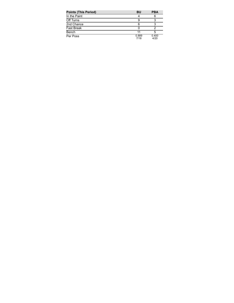| <b>Points (This Period)</b> | BU            | <b>PBA</b>    |
|-----------------------------|---------------|---------------|
| In the Paint                |               |               |
| Off Turns                   |               |               |
| 2nd Chance                  | 6             |               |
| <b>Fast Break</b>           |               |               |
| Bench                       | 11            |               |
| Per Poss                    | 0.889<br>7/18 | 0.400<br>4/20 |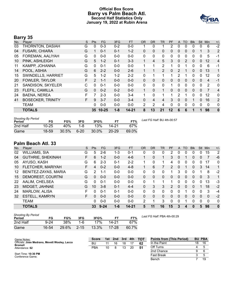# **Official Box Score Barry vs Palm Beach Atl. Second Half Statistics Only January 19, 2022 at Rubin Arena**



# **Barry 35**

| No. | Player                   | S | <b>Pts</b>      | <b>FG</b> | 3FG     | <b>FT</b> | <b>OR</b>    | DR.          | TR             | PF           | A            | TO       | <b>BIK</b> | <b>Stl</b>   | Min            | $+/-$          |
|-----|--------------------------|---|-----------------|-----------|---------|-----------|--------------|--------------|----------------|--------------|--------------|----------|------------|--------------|----------------|----------------|
| 03  | THORNTON, DASIAH         | G | 0               | $0 - 3$   | $0 - 2$ | $0 - 0$   |              | 0            |                | 2            | $\Omega$     | 0        | 0          | 0            | 6              | $-2$           |
| 04  | <b>FUSARI, CHIARA</b>    | G |                 | $0 - 1$   | $0 - 1$ | $1 - 2$   | 0            | $\mathbf{0}$ | 0              | 0            | $\mathbf{0}$ | 0        | 0          |              | 3              | $\overline{2}$ |
| 05  | FOREMAN, AALIYAH         | G | 0               | $0 - 0$   | $0 - 0$ | $0 - 0$   | $\mathbf{0}$ | $\mathbf{0}$ | 0              | 0            | $\Omega$     | $\Omega$ | 0          | $\Omega$     | 5              | -1             |
| 10  | PINK, ASHLEIGH           | G | 5               | $1 - 2$   | $0 - 1$ | $3 - 3$   | 1            | 4            | 5              | 3            | $\mathbf{0}$ | 2        | 0          | $\mathbf{0}$ | 12             | $\overline{4}$ |
| 11  | KAMPP, JOHANNA           | G | $\Omega$        | $0 - 1$   | $0 - 0$ | $0 - 0$   | 1            | 1            | $\overline{2}$ | 1            | $\Omega$     |          | 0          | $\Omega$     | 6              | $-1$           |
| 14  | POOL, ASHIA              | G | 6               | $2 - 2$   | $0 - 0$ | $2 - 6$   | 1            |              | $\overline{2}$ | $\mathbf{0}$ | 2            |          | $\Omega$   | $\mathbf{0}$ | 13             | 1              |
| 15  | SWINDELLS, HARRIET       | G | 5               | $1 - 2$   | $1 - 2$ | $2 - 2$   | $\Omega$     | 1            | 1              | 1            | 2            |          | 0          | $\Omega$     | 12             | $\mathbf{0}$   |
| 20  | <b>FOWLER, TAYLOR</b>    | F | $\overline{2}$  | $1 - 1$   | $0 - 0$ | $0 - 0$   | $\Omega$     | $\Omega$     | 0              | $\Omega$     | $\Omega$     | 0        | $\Omega$   | $\Omega$     | $\overline{4}$ | $-1$           |
| 21  | SANDISON, SKYELER        | C | 0               | $0 - 1$   | $0 - 0$ | $0 - 0$   | $\Omega$     | $\Omega$     | 0              |              | $\Omega$     | 0        | 0          | $\Omega$     | 2              | 0              |
| 23  | FLEFIL, CAMILLA          | G | 0               | $0 - 2$   | $0 - 2$ | $0 - 0$   | 1            | $\Omega$     | $\mathbf{1}$   | 0            | $\Omega$     | $\Omega$ | 0          | $\mathbf{0}$ | 7              | 4              |
| 24  | <b>BAENA, NEREA</b>      | F |                 | $2 - 3$   | $0 - 0$ | $3 - 4$   | 1            | $\Omega$     | 1              |              | 2            |          | 0          | $\Omega$     | 12             | 0              |
| 41  | <b>BOSECKER, TRINITY</b> | F | 9               | $3 - 7$   | $0 - 0$ | $3 - 4$   | $\Omega$     | 4            | 4              | 3            | $\Omega$     | 0        |            | 0            | 16             | $\overline{2}$ |
|     | <b>TEAM</b>              |   | 0               | $0 - 0$   | $0 - 0$ | $0 - 0$   | 2            | 2            | 4              | 0            | 0            | 0        | 0          | $\Omega$     | $\mathbf 0$    | 0              |
|     | <b>TOTALS</b>            |   | 35 <sub>1</sub> | $10 - 25$ | $1 - 8$ | $14 - 21$ | 8            | 13           | 21             | 12           | 6            | 6        |            |              | 98             | $\bf{0}$       |

| <b>Shooting By Period</b><br>Period | FG        | FG%   | 3FG      | 3FG%  |           | FT%   | Last FG Half: BU 4th-00:57 |
|-------------------------------------|-----------|-------|----------|-------|-----------|-------|----------------------------|
| 2nd Half                            | $10 - 25$ | 40%   | 1-8      | 13%   | 14-21     | 67%   |                            |
| Game                                | 18-59     | 30.5% | $6 - 20$ | 30.0% | $20 - 29$ | 69.0% |                            |

# **Palm Beach Atl. 33**

| No. | Plaver                   | S  | Pts | FG       | 3FG     | <b>FT</b> | <b>OR</b> | <b>DR</b> | TR | PF             | A            | TO       | <b>Blk</b> | Stl | Min          | $+/-$          |
|-----|--------------------------|----|-----|----------|---------|-----------|-----------|-----------|----|----------------|--------------|----------|------------|-----|--------------|----------------|
| 02  | <b>WILLIAMS, SIA</b>     | G  | 5   | $2-6$    | $1 - 3$ | $0 - 1$   | 0         | 0         | 0  | 2              | 0            | 0        | 0          | 0   | 15           | $\overline{2}$ |
| 04  | <b>GUTHRIE, SHEKINAH</b> | F  | 6   | $1 - 2$  | $0 - 0$ | $4-6$     |           | 0         | 1  | 3              | 0            |          | 0          | 0   |              | -6             |
| 05  | AYUSO, KASH              | G  | 6   | $2 - 3$  | $0 - 1$ | $2 - 2$   |           | 0         | 1  | 4              | 0            | 0        | 0          | 0   | 17           | 0              |
| 10  | FLETCHER, MARIYAH        | F  | 4   | $0 - 2$  | $0 - 0$ | $4 - 8$   |           | 6         |    | $\overline{2}$ | $\mathbf{0}$ |          | 0          | 3.  | 14           | 1              |
| 12  | BENITEZ-ZAYAS, MARIA     | G  | 2   | 1-1      | $0 - 0$ | $0 - 0$   | 0         | 0         | 0  |                | 3            | 0        |            |     | 8            | $-2$           |
| 15  | DEMOREST, COURTNI        | G  | 0   | $0 - 0$  | $0 - 0$ | $0 - 0$   | 0         | 0         | 0  | 0              | 0            | $\Omega$ | 0          | 0   | 3            | 1              |
| 22  | AALIM, CHELSEA           | G  | 0   | $0 - 1$  | $0 - 0$ | $0 - 0$   | $\Omega$  | 1         | 1  | 1              | 0            | 0        | 0          | 0   | 13           | -3             |
| 23  | MIDGET, JAHNAE           | G  | 10  | $3 - 8$  | $0 - 1$ | $4 - 4$   | 0         | 3         | 3  | $\mathcal{P}$  | $\Omega$     | $\Omega$ | 0          |     | 18           | $-2$           |
| 24  | <b>MARLOW, ALISA</b>     | F  | 0   | $0 - 1$  | $0 - 1$ | $0 - 0$   | $\Omega$  | 0         | 0  | 0              | $\Omega$     |          | 0          | 0   | 3            | $-4$           |
| 32  | <b>ESTELL, KAMRYN</b>    | F. | 0   | $0 - 0$  | $0 - 0$ | $0 - 0$   | 0         | 0         | 0  | 0              | 0            | 0        | 0          | 0   | $\mathbf{0}$ | $-2$           |
|     | <b>TEAM</b>              |    | 0   | $0 - 0$  | $0 - 0$ | $0 - 0$   | 2         | 1         | 3  | 0              | 0            |          | 0          | 0   | 0            | 0              |
|     | <b>TOTALS</b>            |    | 33  | $9 - 24$ | $1 - 6$ | $14 - 21$ | 5         | 11        | 16 | 15             | 3            | Δ        |            | 5   | 98           | $\mathbf{0}$   |

| <b>Shooting By Period</b><br>Period | FG    | FG%   | 3FG      | 3FG%  | FТ        | FT%   | Last FG |
|-------------------------------------|-------|-------|----------|-------|-----------|-------|---------|
| 2nd Half                            | 9-24  | 38%   | 1-6      | 17%   | 14-21     | 67%   |         |
| Game                                | 16-54 | 29.6% | $2 - 15$ | 13.3% | $17 - 28$ | 60.7% |         |

*Last FG Half:* PBA 4th-00:29

| Game Notes:                                                     | <b>Score</b> | 1st. | 2nd | 3rd | 4th | <b>TOT</b> | <b>Points from (This Period)</b> |    | <b>BU PBA</b> |
|-----------------------------------------------------------------|--------------|------|-----|-----|-----|------------|----------------------------------|----|---------------|
| Officials: Jose Medrano, Mevett Wooley, Lacca<br><b>Bromell</b> | BU           |      | 16  | 18  |     | 62         | In the Paint                     | 18 | 16            |
| Attendance: 62                                                  | PBA          | 10   |     | 13  | 20  | 51         | Off Turns                        |    |               |
|                                                                 |              |      |     |     |     |            | 2nd Chance                       |    |               |
| Start Time: 10:30 PM<br>Conference Game;                        |              |      |     |     |     |            | Fast Break                       |    |               |
|                                                                 |              |      |     |     |     |            | Bench                            |    | 19            |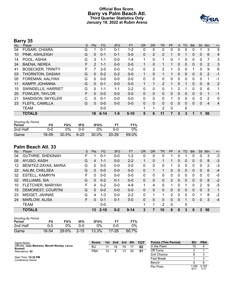# **Official Box Score Barry vs Palm Beach Atl. Third Quarter Statistics Only January 19, 2022 at Rubin Arena**



# **Barry 35**

| No. | Player                   | S | <b>Pts</b> | <b>FG</b> | 3FG     | <b>FT</b> | <b>OR</b>    | D <sub>R</sub> | TR             | PF | A            | TO           | <b>BIK</b> | Stl          | Min | $+/-$          |
|-----|--------------------------|---|------------|-----------|---------|-----------|--------------|----------------|----------------|----|--------------|--------------|------------|--------------|-----|----------------|
| 04  | <b>FUSARI, CHIARA</b>    | G |            | $0 - 1$   | $0 - 1$ | $1 - 2$   | 0            | 0              | 0              | 0  | 0            | $\Omega$     | 0          |              | 3   | 5              |
| 10  | PINK, ASHLEIGH           | G | 0          | $0 - 1$   | $0 - 1$ | $0 - 0$   | $\Omega$     | 2              | $\overline{2}$ |    | 0            |              | 0          | 0            | 6   | 4              |
| 14  | POOL, ASHIA              | G | 3          | $1 - 1$   | $0 - 0$ | $1 - 4$   | 1            | $\mathbf{0}$   | 1              | 0  |              | 0            | 0          | 0            | 7   | 3              |
| 24  | <b>BAENA, NEREA</b>      | F | 2          | $1 - 1$   | $0 - 0$ | $0 - 0$   |              | 0              |                |    | 0            | 0            | 0          | $\mathbf{0}$ | 2   | 3              |
| 41  | <b>BOSECKER, TRINITY</b> | F |            | $3 - 5$   | $0 - 0$ | $1 - 2$   | 0            | 2              | 2              |    | 0            | 0            |            | 0            | 9   | 6              |
| 03  | THORNTON, DASIAH         | G | $\Omega$   | $0 - 2$   | $0 - 2$ | $0 - 0$   |              | $\Omega$       | 1              |    | 0            | $\mathbf{0}$ | 0          | 0            | 2   | $-1$           |
| 05  | FOREMAN, AALIYAH         | G | 0          | $0 - 0$   | $0 - 0$ | $0 - 0$   | 0            | 0              | 0              | 0  | 0            | 0            | 0          | $\Omega$     |     | $-1$           |
| 11  | KAMPP, JOHANNA           | G | $\Omega$   | $0 - 1$   | $0 - 0$ | $0 - 0$   |              |                | $\overline{2}$ |    | 0            |              | 0          | $\Omega$     | 6   | $\overline{2}$ |
| 15  | SWINDELLS, HARRIET       | G | 5          | 1-1       | $1 - 1$ | $2 - 2$   | 0            | 0              | 0              |    | 2            |              | 0          | $\Omega$     | 6   | 1              |
| 20  | <b>FOWLER, TAYLOR</b>    | F | 0          | $0 - 0$   | $0 - 0$ | $0 - 0$   | $\mathbf{0}$ | 0              | 0              | 0  | $\mathbf{0}$ | $\mathbf{0}$ | 0          | $\mathbf{0}$ |     | $-1$           |
| 21  | SANDISON, SKYELER        | C | 0          | $0 - 1$   | $0 - 0$ | $0 - 0$   | 0            | 0              | 0              |    | 0            | 0            | 0          | $\Omega$     | 2   | 0              |
| 23  | FLEFIL, CAMILLA          | G | 0          | $0 - 0$   | $0 - 0$ | $0 - 0$   | $\Omega$     | $\Omega$       | 0              | 0  | $\Omega$     | $\Omega$     | 0          | $\Omega$     | 4   | $\overline{4}$ |
|     | TEAM                     |   |            | $0 - 0$   |         |           | 1            |                | 2              | 0  |              | 0            |            |              |     |                |
|     | <b>TOTALS</b>            |   | 18         | $6 - 14$  | $1 - 5$ | $5 - 10$  | 5            | 6              | 11             | 7  | 3            | 3            | 1          |              | 50  |                |

| <b>Shooting By Period</b><br>Period | FG    | FG%   | 3FG    | 3FG%     |           | FT%   |
|-------------------------------------|-------|-------|--------|----------|-----------|-------|
| 2nd Half                            | ი-ი   | በ%    | ი-ი    | ባ%       | ባ-በ       | $0\%$ |
| Game                                | 18-59 | 30.5% | $6-20$ | $30.0\%$ | $20 - 29$ | 69.0% |

# **Palm Beach Atl. 33**

| No. | Player                   | S  | Pts      | FG.      | 3FG     | <b>FT</b> | <b>OR</b> | DR       | TR | PF            | A              | TO       | <b>Blk</b> | Stl      | Min      | $+/-$ |
|-----|--------------------------|----|----------|----------|---------|-----------|-----------|----------|----|---------------|----------------|----------|------------|----------|----------|-------|
| 04  | <b>GUTHRIE, SHEKINAH</b> | F  |          | $0 - 1$  | $0 - 0$ | $1 - 2$   | 0         | 0        | 0  |               | 0              |          | 0          | 0        | 3        | $-3$  |
| 05  | AYUSO, KASH              | G  | 4        | $1 - 1$  | $0 - 0$ | $2 - 2$   |           | 0        | 1  |               | 0              | 0        | 0          | 0        | 8        | $-3$  |
| 12  | BENITEZ-ZAYAS, MARIA     | G  | 0        | $0-0$    | $0 - 0$ | $0-0$     | 0         | 0        | 0  |               | 0              | 0        | 0          | 0        | 2        | -3    |
| 22  | AALIM, CHELSEA           | G  | 0        | $0 - 0$  | $0 - 0$ | $0 - 0$   | 0         |          | 1. | 0             | $\Omega$       | $\Omega$ | 0          | 0        | 6        | $-4$  |
| 32  | <b>ESTELL, KAMRYN</b>    | F  | $\Omega$ | $0 - 0$  | $0 - 0$ | $0 - 0$   | 0         | $\Omega$ | 0  | 0             | 0              | $\Omega$ | 0          | $\Omega$ | $\Omega$ | -5    |
| 02  | <b>WILLIAMS, SIA</b>     | G  | 0        | $0 - 2$  | $0 - 1$ | $0 - 0$   | $\Omega$  | $\Omega$ | 0  | $\mathcal{P}$ | $\Omega$       | $\Omega$ | 0          | $\Omega$ | 8        | $-2$  |
| 10  | FLETCHER, MARIYAH        | F  | 4        | $0 - 2$  | $0 - 0$ | $4 - 8$   | 1         | 4        | 5  |               | 0              |          | 0          | 2        | 9        | -5    |
| 15  | DEMOREST, COURTNI        | G  | $\Omega$ | $0 - 0$  | $0 - 0$ | $0 - 0$   | $\Omega$  | 0        | 0  | 0             | $\overline{0}$ | $\Omega$ | 0          | $\Omega$ | -3       | 1     |
| 23  | MIDGET, JAHNAE           | G  | 4        | 1-3      | $0 - 0$ | $2 - 2$   | 0         | 1        | 1  | 2             | 0              | ∩        | 0          |          | 8        | $-2$  |
| 24  | <b>MARLOW, ALISA</b>     | F. | 0        | $0 - 1$  | $0 - 1$ | $0 - 0$   | 0         | 0        | 0  | 0             | $\Omega$       |          | 0          | $\Omega$ | 3        | $-4$  |
|     | <b>TEAM</b>              |    |          | $0 - 0$  |         |           | 1         | 1        | 2  | 0             |                | 0        |            |          |          |       |
|     | <b>TOTALS</b>            |    | 13       | $2 - 10$ | $0 - 2$ | $9 - 14$  | 3         |          | 10 | 8             | 0              | 3        | 0          | 3        | 50       |       |

| <b>Shooting By Period</b><br>Period | FG    | FG%   | 3FG      | 3FG%  | FТ        | FT%   |
|-------------------------------------|-------|-------|----------|-------|-----------|-------|
| 2nd Half                            | 0-0   | 0%    | റ-റ      | ገ%    | ი-ი       | $0\%$ |
| Game                                | 16-54 | 29.6% | $2 - 15$ | 13.3% | $17 - 28$ | 60.7% |

| Game Notes:                                                     | <b>Score</b> | 1st | 2nd | $\sqrt{3}$ rd | 4th | <b>TOT</b> | <b>Points (This Period)</b> | BU           | <b>PBA</b>    |
|-----------------------------------------------------------------|--------------|-----|-----|---------------|-----|------------|-----------------------------|--------------|---------------|
| Officials: Jose Medrano, Mevett Wooley, Lacca<br><b>Bromell</b> | BU           |     | 16  | 18            |     | 62         | In the Paint                | 10           |               |
| Attendance: 62                                                  | <b>PBA</b>   | 10  |     | 13            | 20  | 51         | Off Turns                   |              |               |
|                                                                 |              |     |     |               |     |            | 2nd Chance                  |              |               |
| Start Time: 10:30 PM<br>Conference Game:                        |              |     |     |               |     |            | <b>Fast Break</b>           |              |               |
|                                                                 |              |     |     |               |     |            | Bench                       |              |               |
|                                                                 |              |     |     |               |     |            | Per Poss                    | .059<br>9/17 | 0.765<br>7/17 |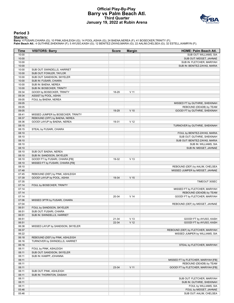# **Official Play-By-Play Barry vs Palm Beach Atl. Third Quarter January 19, 2022 at Rubin Arena**



#### **Period 3**

<mark>Starters:</mark><br>Barry: 4 FUSARI,CHIARA (G); 10 PINK,ASHLEIGH (G); 14 POOL,ASHIA (G); 24 BAENA,NEREA (F); 41 BOSECKER,TRINITY (F);<br>Palm Beach Atl.: 4 GUTHRIE,SHEKINAH (F); 5 AYUSO,KASH (G); 12 BENITEZ-ZAYAS,MARIA (G); 22 AALIM,

| Time  | <b>VISITORS: Barry</b>             | <b>Score</b> | <b>Margin</b>   | <b>HOME: Palm Beach Atl.</b>        |
|-------|------------------------------------|--------------|-----------------|-------------------------------------|
| 10:00 |                                    |              |                 | SUB OUT: WILLIAMS, SIA              |
| 10:00 |                                    |              |                 | SUB OUT: MIDGET, JAHNAE             |
| 10:00 |                                    |              |                 | SUB IN: FLETCHER, MARIYAH           |
| 10:00 |                                    |              |                 | SUB IN: BENITEZ-ZAYAS, MARIA        |
| 10:00 | SUB OUT: SWINDELLS, HARRIET        |              |                 |                                     |
| 10:00 | SUB OUT: FOWLER, TAYLOR            |              |                 |                                     |
| 10:00 | SUB OUT: SANDISON, SKYELER         |              |                 |                                     |
| 10:00 | SUB IN: FUSARI, CHIARA             |              |                 |                                     |
| 10:00 | SUB IN: BAENA, NEREA               |              |                 |                                     |
| 10:00 | SUB IN: BOSECKER, TRINITY          |              |                 |                                     |
| 09:34 | GOOD! by BOSECKER, TRINITY         | 18-29        | $V$ 11          |                                     |
| 09:34 | ASSIST by POOL, ASHIA              |              |                 |                                     |
| 09:05 | FOUL by BAENA, NEREA               |              |                 |                                     |
| 09:05 |                                    |              |                 | MISSED FT by GUTHRIE, SHEKINAH      |
| 09:05 |                                    |              |                 | REBOUND (DEADB) by TEAM             |
| 09:05 |                                    | 19-29        | $V$ 10          | GOOD! FT by GUTHRIE, SHEKINAH       |
| 08:41 | MISSED JUMPER by BOSECKER, TRINITY |              |                 |                                     |
| 08:37 | REBOUND (OFF) by BAENA, NEREA      |              |                 |                                     |
| 08:36 | GOOD! LAYUP by BAENA, NEREA        | 19-31        | V <sub>12</sub> |                                     |
| 08:15 |                                    |              |                 | TURNOVER by GUTHRIE, SHEKINAH       |
| 08:15 | STEAL by FUSARI, CHIARA            |              |                 |                                     |
| 08:10 |                                    |              |                 | FOUL by BENITEZ-ZAYAS, MARIA        |
| 08:10 |                                    |              |                 | SUB OUT: GUTHRIE, SHEKINAH          |
| 08:10 |                                    |              |                 | SUB OUT: BENITEZ-ZAYAS, MARIA       |
| 08:10 |                                    |              |                 | SUB IN: WILLIAMS, SIA               |
| 08:10 |                                    |              |                 | SUB IN: MIDGET, JAHNAE              |
| 08:10 | SUB OUT: BAENA, NEREA              |              |                 |                                     |
| 08:10 | SUB IN: SANDISON, SKYELER          |              |                 |                                     |
| 08:10 | GOOD! FT by FUSARI, CHIARA [FB]    | 19-32        | V <sub>13</sub> |                                     |
| 08:10 | MISSED FT by FUSARI, CHIARA [FB]   |              |                 |                                     |
| 08:10 |                                    |              |                 | REBOUND (DEF) by AALIM, CHELSEA     |
| 07:48 |                                    |              |                 | MISSED JUMPER by MIDGET, JAHNAE     |
| 07:45 | REBOUND (DEF) by PINK, ASHLEIGH    |              |                 |                                     |
| 07:39 | GOOD! LAYUP by POOL, ASHIA         | 19-34        | V <sub>15</sub> |                                     |
| 07:35 |                                    |              |                 | TIMEOUT 30SEC                       |
| 07:14 | FOUL by BOSECKER, TRINITY          |              |                 |                                     |
| 07:14 |                                    |              |                 | MISSED FT by FLETCHER, MARIYAH      |
| 07:14 |                                    |              |                 | REBOUND (DEADB) by TEAM             |
| 07:14 |                                    | 20-34        | V <sub>14</sub> | GOOD! FT by FLETCHER, MARIYAH       |
| 07:06 | MISSED 3PTR by FUSARI, CHIARA      |              |                 |                                     |
| 07:04 |                                    |              |                 |                                     |
| 06:51 | FOUL by SANDISON, SKYELER          |              |                 | REBOUND (DEF) by MIDGET, JAHNAE     |
|       | SUB OUT: FUSARI, CHIARA            |              |                 |                                     |
| 06:51 |                                    |              |                 |                                     |
| 06:51 | SUB IN: SWINDELLS, HARRIET         |              |                 |                                     |
| 06:51 |                                    | 21-34        | V <sub>13</sub> | GOOD! FT by AYUSO, KASH             |
| 06:51 |                                    | 22-34        | V <sub>12</sub> | GOOD! FT by AYUSO, KASH             |
| 06:38 | MISSED LAYUP by SANDISON, SKYELER  |              |                 |                                     |
| 06:37 |                                    |              |                 | REBOUND (DEF) by FLETCHER, MARIYAH  |
| 06:22 |                                    |              |                 | MISSED JUMPER by WILLIAMS, SIA      |
| 06:18 | REBOUND (DEF) by PINK, ASHLEIGH    |              |                 |                                     |
| 06:16 | TURNOVER by SWINDELLS, HARRIET     |              |                 |                                     |
| 06:16 |                                    |              |                 | STEAL by FLETCHER, MARIYAH          |
| 06:11 | FOUL by PINK, ASHLEIGH             |              |                 |                                     |
| 06:11 | SUB OUT: SANDISON, SKYELER         |              |                 |                                     |
| 06:11 | SUB IN: KAMPP, JOHANNA             |              |                 |                                     |
| 06:11 |                                    |              |                 | MISSED FT by FLETCHER, MARIYAH [FB] |
| 06:11 |                                    |              |                 | REBOUND (DEADB) by TEAM             |
| 06:11 |                                    | 23-34        | $V$ 11          | GOOD! FT by FLETCHER, MARIYAH [FB]  |
| 06:11 | SUB OUT: PINK, ASHLEIGH            |              |                 |                                     |
| 06:11 | SUB IN: THORNTON, DASIAH           |              |                 |                                     |
| 06:11 |                                    |              |                 | SUB OUT: FLETCHER, MARIYAH          |
| 06:11 |                                    |              |                 | SUB IN: GUTHRIE, SHEKINAH           |
| 06:11 |                                    |              |                 | FOUL by WILLIAMS, SIA               |
| 05:46 |                                    |              |                 | FOUL by MIDGET, JAHNAE              |
| 05:46 |                                    |              |                 | SUB OUT: AALIM, CHELSEA             |
|       |                                    |              |                 |                                     |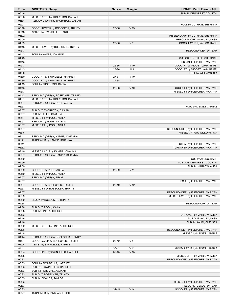| Time           | <b>VISITORS: Barry</b>                                        | <b>Score</b> | <b>Margin</b>   | HOME: Palm Beach Atl.                                      |
|----------------|---------------------------------------------------------------|--------------|-----------------|------------------------------------------------------------|
| 05:46          |                                                               |              |                 | SUB IN: DEMOREST, COURTNI                                  |
| 05:36          | MISSED 3PTR by THORNTON, DASIAH                               |              |                 |                                                            |
| 05:34          | REBOUND (OFF) by THORNTON, DASIAH                             |              |                 |                                                            |
| 05:21          |                                                               |              |                 | FOUL by GUTHRIE, SHEKINAH                                  |
| 05:18          | GOOD! JUMPER by BOSECKER, TRINITY                             | 23-36        | V <sub>13</sub> |                                                            |
| 05:18          | ASSIST by SWINDELLS, HARRIET                                  |              |                 |                                                            |
| 05:02<br>05:00 |                                                               |              |                 | MISSED LAYUP by GUTHRIE, SHEKINAH                          |
| 04:59          |                                                               | 25-36        | V <sub>11</sub> | REBOUND (OFF) by AYUSO, KASH<br>GOOD! LAYUP by AYUSO, KASH |
| 04:45          | MISSED LAYUP by BOSECKER, TRINITY                             |              |                 |                                                            |
| 04:43          |                                                               |              |                 | REBOUND (DEF) by TEAM                                      |
| 04:43          | FOUL by KAMPP, JOHANNA                                        |              |                 |                                                            |
| 04:43          |                                                               |              |                 | SUB OUT: GUTHRIE, SHEKINAH                                 |
| 04:43          |                                                               |              |                 | SUB IN: FLETCHER, MARIYAH                                  |
| 04:43          |                                                               | 26-36        | $V$ 10          | GOOD! FT by MIDGET, JAHNAE [FB]                            |
| 04:43          |                                                               | 27-36        | V <sub>9</sub>  | GOOD! FT by MIDGET, JAHNAE [FB]                            |
| 04:30          |                                                               |              |                 | FOUL by WILLIAMS, SIA                                      |
| 04:30          | GOOD! FT by SWINDELLS, HARRIET                                | 27-37        | $V$ 10          |                                                            |
| 04:30          | GOOD! FT by SWINDELLS, HARRIET                                | 27-38        | V <sub>11</sub> |                                                            |
| 04:13<br>04:13 | FOUL by THORNTON, DASIAH                                      |              | $V$ 10          | GOOD! FT by FLETCHER, MARIYAH                              |
| 04:13          |                                                               | 28-38        |                 | MISSED FT by FLETCHER, MARIYAH                             |
| 04:12          | REBOUND (DEF) by BOSECKER, TRINITY                            |              |                 |                                                            |
| 04:01          | MISSED 3PTR by THORNTON, DASIAH                               |              |                 |                                                            |
| 03:57          | REBOUND (OFF) by POOL, ASHIA                                  |              |                 |                                                            |
| 03:57          |                                                               |              |                 | FOUL by MIDGET, JAHNAE                                     |
| 03:57          | SUB OUT: THORNTON, DASIAH                                     |              |                 |                                                            |
| 03:57          | SUB IN: FLEFIL, CAMILLA                                       |              |                 |                                                            |
| 03:57          | MISSED FT by POOL, ASHIA                                      |              |                 |                                                            |
| 03:57          | REBOUND (DEADB) by TEAM                                       |              |                 |                                                            |
| 03:57          | MISSED FT by POOL, ASHIA                                      |              |                 |                                                            |
| 03:57          |                                                               |              |                 | REBOUND (DEF) by FLETCHER, MARIYAH                         |
| 03:46          |                                                               |              |                 | MISSED 3PTR by WILLIAMS, SIA                               |
| 03:41<br>03:41 | REBOUND (DEF) by KAMPP, JOHANNA<br>TURNOVER by KAMPP, JOHANNA |              |                 |                                                            |
| 03:41          |                                                               |              |                 | STEAL by FLETCHER, MARIYAH                                 |
| 03:32          |                                                               |              |                 | TURNOVER by FLETCHER, MARIYAH                              |
| 03:10          | MISSED LAYUP by KAMPP, JOHANNA                                |              |                 |                                                            |
| 03:07          | REBOUND (OFF) by KAMPP, JOHANNA                               |              |                 |                                                            |
| 02:59          |                                                               |              |                 | FOUL by AYUSO, KASH                                        |
| 02:59          |                                                               |              |                 | SUB OUT: DEMOREST, COURTNI                                 |
| 02:59          |                                                               |              |                 | SUB IN: MARLOW, ALISA                                      |
| 02:59          | GOOD! FT by POOL, ASHIA                                       | 28-39        | V <sub>11</sub> |                                                            |
| 02:59          | MISSED FT by POOL, ASHIA                                      |              |                 |                                                            |
| 02:57          | REBOUND (OFF) by TEAM                                         |              |                 |                                                            |
| 02:57<br>02:57 | GOOD! FT by BOSECKER, TRINITY                                 | 28-40        | V <sub>12</sub> | FOUL by FLETCHER, MARIYAH                                  |
| 02:57          | MISSED FT by BOSECKER, TRINITY                                |              |                 |                                                            |
| 02:57          |                                                               |              |                 | REBOUND (DEF) by FLETCHER, MARIYAH                         |
| 02:39          |                                                               |              |                 | MISSED LAYUP by FLETCHER, MARIYAH                          |
| 02:39          | BLOCK by BOSECKER, TRINITY                                    |              |                 |                                                            |
| 02:38          |                                                               |              |                 | REBOUND (OFF) by TEAM                                      |
| 02:38          | SUB OUT: POOL, ASHIA                                          |              |                 |                                                            |
| 02:38          | SUB IN: PINK, ASHLEIGH                                        |              |                 |                                                            |
| 02:33          |                                                               |              |                 | TURNOVER by MARLOW, ALISA                                  |
| 02:16          |                                                               |              |                 | SUB OUT: AYUSO, KASH                                       |
| 02:16          |                                                               |              |                 | SUB IN: AALIM, CHELSEA                                     |
| 02:09          | MISSED 3PTR by PINK, ASHLEIGH                                 |              |                 |                                                            |
| 02:06          |                                                               |              |                 | REBOUND (DEF) by FLETCHER, MARIYAH                         |
| 01:48<br>01:44 | REBOUND (DEF) by BOSECKER, TRINITY                            |              |                 | MISSED by MIDGET, JAHNAE                                   |
| 01:24          | GOOD! LAYUP by BOSECKER, TRINITY                              | 28-42        | V <sub>14</sub> |                                                            |
| 01:24          | ASSIST by SWINDELLS, HARRIET                                  |              |                 |                                                            |
| 01:11          |                                                               | $30 - 42$    | V <sub>12</sub> | GOOD! LAYUP by MIDGET, JAHNAE                              |
| 00:54          | GOOD! 3PTR by SWINDELLS, HARRIET                              | $30 - 45$    | V <sub>15</sub> |                                                            |
| 00:35          |                                                               |              |                 | MISSED 3PTR by MARLOW, ALISA                               |
| 00:33          |                                                               |              |                 | REBOUND (OFF) by FLETCHER, MARIYAH                         |
| 00:33          | FOUL by SWINDELLS, HARRIET                                    |              |                 |                                                            |
| 00:33          | SUB OUT: SWINDELLS, HARRIET                                   |              |                 |                                                            |
| 00:33          | SUB IN: FOREMAN, AALIYAH                                      |              |                 |                                                            |
| 00:33          | SUB OUT: BOSECKER, TRINITY                                    |              |                 |                                                            |
| 00:33          | SUB IN: FOWLER, TAYLOR                                        |              |                 |                                                            |
| 00:33          |                                                               |              |                 | MISSED FT by FLETCHER, MARIYAH                             |
| 00:33<br>00:33 |                                                               | $31 - 45$    | V <sub>14</sub> | REBOUND (DEADB) by TEAM<br>GOOD! FT by FLETCHER, MARIYAH   |
| 00:27          | TURNOVER by PINK, ASHLEIGH                                    |              |                 |                                                            |
|                |                                                               |              |                 |                                                            |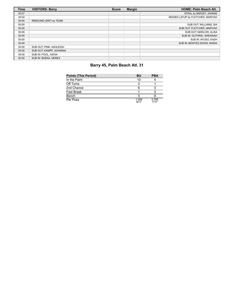| <b>Time</b> | <b>VISITORS: Barry</b>  | <b>Score</b> | <b>Margin</b> | <b>HOME: Palm Beach Atl.</b>      |
|-------------|-------------------------|--------------|---------------|-----------------------------------|
| 00:27       |                         |              |               | STEAL by MIDGET, JAHNAE           |
| 00:02       |                         |              |               | MISSED LAYUP by FLETCHER, MARIYAH |
| 00:00       | REBOUND (DEF) by TEAM   |              |               |                                   |
| 00:00       |                         |              |               | SUB OUT: WILLIAMS, SIA            |
| 00:00       |                         |              |               | SUB OUT: FLETCHER, MARIYAH        |
| 00:00       |                         |              |               | SUB OUT: MARLOW, ALISA            |
| 00:00       |                         |              |               | SUB IN: GUTHRIE, SHEKINAH         |
| 00:00       |                         |              |               | SUB IN: AYUSO, KASH               |
| 00:00       |                         |              |               | SUB IN: BENITEZ-ZAYAS, MARIA      |
| 00:00       | SUB OUT: PINK, ASHLEIGH |              |               |                                   |
| 00:00       | SUB OUT: KAMPP, JOHANNA |              |               |                                   |
| 00:00       | SUB IN: POOL. ASHIA     |              |               |                                   |
| 00:00       | SUB IN: BAENA, NEREA    |              |               |                                   |

# **Barry 45, Palm Beach Atl. 31**

| <b>Points (This Period)</b> | BU            | PBA           |
|-----------------------------|---------------|---------------|
| In the Paint                | 10            |               |
| Off Turns                   |               |               |
| 2nd Chance                  |               |               |
| <b>Fast Break</b>           |               |               |
| Bench                       |               |               |
| Per Poss                    | 1.059<br>9/17 | 0.765<br>7/17 |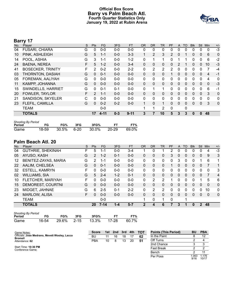# **Official Box Score Barry vs Palm Beach Atl. Fourth Quarter Statistics Only January 19, 2022 at Rubin Arena**



# **Barry 17**

| No. | Player                   | S | <b>Pts</b>    | <b>FG</b> | 3FG     | <b>FT</b> | <b>OR</b>    | <b>DR</b>      | TR             | PF             | A            | TO           | <b>Blk</b> | Stl          | Min            | $+/-$       |
|-----|--------------------------|---|---------------|-----------|---------|-----------|--------------|----------------|----------------|----------------|--------------|--------------|------------|--------------|----------------|-------------|
| 04  | <b>FUSARI, CHIARA</b>    | G | 0             | $0 - 0$   | $0 - 0$ | $0 - 0$   | 0            | 0              | 0              | 0              | 0            | $\Omega$     | 0          | 0            | 0              | $-3$        |
| 10  | PINK, ASHLEIGH           | G | 5             | $1 - 1$   | $0 - 0$ | $3 - 3$   | 1            | 2              | 3              | $\overline{2}$ | $\mathbf{0}$ |              | 0          | $\mathbf{0}$ | 6              | $\mathbf 0$ |
| 14  | POOL, ASHIA              | G | 3             | $1 - 1$   | $0 - 0$ | $1 - 2$   | 0            | 1              | 1              | 0              |              |              | 0          | 0            | 6              | $-2$        |
| 24  | <b>BAENA, NEREA</b>      | F | 5             | $1 - 2$   | $0 - 0$ | $3 - 4$   | $\Omega$     | 0              | 0              | 0              | 2            |              | 0          | 0            | 10             | $-3$        |
| 41  | <b>BOSECKER, TRINITY</b> | F | $\mathcal{P}$ | $0 - 2$   | $0 - 0$ | $2 - 2$   | $\Omega$     | $\overline{2}$ | $\overline{2}$ | 2              | $\Omega$     | $\Omega$     | 0          | 0            | 7              | $-4$        |
| 03  | THORNTON, DASIAH         | G | 0             | $0 - 1$   | $0 - 0$ | $0 - 0$   | $\Omega$     | $\mathbf{0}$   | 0              |                | $\mathbf{0}$ | $\Omega$     | $\Omega$   | $\mathbf{0}$ | $\overline{4}$ | $-1$        |
| 05  | FOREMAN, AALIYAH         | G | $\Omega$      | $0 - 0$   | $0 - 0$ | $0 - 0$   | $\mathbf{0}$ | $\Omega$       | 0              | 0              | 0            | $\Omega$     | 0          | 0            | 4              | $\mathbf 0$ |
| 11  | KAMPP, JOHANNA           | G | $\Omega$      | $0 - 0$   | $0 - 0$ | $0 - 0$   | $\Omega$     | $\Omega$       | 0              | 0              | $\mathbf{0}$ | $\Omega$     | $\Omega$   | $\Omega$     | $\mathbf{0}$   | $-3$        |
| 15  | SWINDELLS, HARRIET       | G | $\Omega$      | $0 - 1$   | $0 - 1$ | $0 - 0$   | 0            |                | 1              | 0              | $\mathbf{0}$ | $\Omega$     | 0          | $\Omega$     | 6              | $-1$        |
| 20  | <b>FOWLER, TAYLOR</b>    | F | 2             | $1 - 1$   | $0 - 0$ | $0 - 0$   | $\mathbf{0}$ | $\mathbf{0}$   | 0              | 0              | 0            | $\Omega$     | 0          | $\Omega$     | 3              | $\Omega$    |
| 21  | SANDISON, SKYELER        | С | 0             | $0 - 0$   | $0 - 0$ | $0 - 0$   | $\mathbf{0}$ | $\Omega$       | 0              | 0              | $\mathbf{0}$ | $\Omega$     | 0          | 0            | 0              | 0           |
| 23  | FLEFIL, CAMILLA          | G | $\Omega$      | $0 - 2$   | $0 - 2$ | $0 - 0$   | $\mathbf{1}$ | $\Omega$       | 1              | 0              | $\mathbf{0}$ | $\Omega$     | $\Omega$   | $\mathbf{0}$ | 3              | $\mathbf 0$ |
|     | <b>TEAM</b>              |   |               | $0 - 0$   |         |           |              |                | 2              | 0              |              | $\mathbf{0}$ |            |              |                |             |
|     | <b>TOTALS</b>            |   | 17            | $4 - 11$  | $0 - 3$ | $9 - 11$  | 3            | 7              | 10             | 5              | 3            | 3            | 0          | 0            | 48             |             |

| <b>Shooting By Period</b> |       |       |          |       |       |       |
|---------------------------|-------|-------|----------|-------|-------|-------|
| Period                    | FG    | FG%   | 3FG      | 3FG%  | FТ    | FT%   |
| Game                      | 18-59 | 30.5% | $6 - 20$ | 30.0% | 20-29 | 69.0% |

# **Palm Beach Atl. 20**

| No. | Player                   | S  | <b>Pts</b> | FG       | 3FG     | <b>FT</b> | <b>OR</b>    | DR | TR | PF | A            | TO          | <b>BIK</b> | Stl          | Min      | $+/-$        |
|-----|--------------------------|----|------------|----------|---------|-----------|--------------|----|----|----|--------------|-------------|------------|--------------|----------|--------------|
| 04  | <b>GUTHRIE, SHEKINAH</b> | F. | 5          | 1-1      | $0 - 0$ | $3 - 4$   |              | 0  |    | 2  | 0            | 0           | 0          | 0            | 4        | $-3$         |
| 05  | AYUSO, KASH              | G  | 2          | $1 - 2$  | $0 - 1$ | $0 - 0$   | $\mathbf{0}$ | 0  | 0  | 3  | $\mathbf{0}$ | 0           | 0          | $\mathbf{0}$ | 9        | 3            |
| 12  | BENITEZ-ZAYAS, MARIA     | G  | 2          | 1-1      | $0 - 0$ | $0-0$     | 0            | 0  | 0  | 0  | 3            | $\mathbf 0$ | 0          |              | 6        | 1            |
| 22  | AALIM, CHELSEA           | G  | 0          | $0 - 1$  | $0 - 0$ | $0 - 0$   | $\Omega$     | 0  | 0  |    | 0            | 0           | 0          | $\mathbf{0}$ | 7        | 1            |
| 32  | <b>ESTELL, KAMRYN</b>    | F  | 0          | $0 - 0$  | $0 - 0$ | $0 - 0$   | 0            | 0  | 0  | 0  | 0            | 0           | 0          | 0            | $\Omega$ | 3            |
| 02  | <b>WILLIAMS, SIA</b>     | G  | 5          | $2 - 4$  | $1 - 2$ | $0 - 1$   | $\mathbf{0}$ | 0  | 0  | 0  | $\mathbf{0}$ | 0           | 0          | $\mathbf{0}$ | 7        | 4            |
| 10  | FLETCHER, MARIYAH        | F. | 0          | $0 - 0$  | $0 - 0$ | $0-0$     | 0            | 2  | 2  |    | 0            | 0           | 0          |              | 5        | 6            |
| 15  | <b>DEMOREST, COURTNI</b> | G  | $\Omega$   | $0 - 0$  | $0 - 0$ | $0 - 0$   | $\Omega$     | 0  | 0  | 0  | $\Omega$     | 0           | 0          | $\Omega$     | $\Omega$ | $\mathbf{0}$ |
| 23  | MIDGET, JAHNAE           | G  | 6          | $2 - 5$  | $0 - 1$ | $2 - 2$   | 0            | 2  | 2  | 0  | 0            | 0           | 0          | 0            | 10       | $\mathbf{0}$ |
| 24  | <b>MARLOW, ALISA</b>     | F. | 0          | $0 - 0$  | $0 - 0$ | $0 - 0$   | $\Omega$     | 0  | 0  | 0  | $\Omega$     | 0           | 0          | 0            | $\Omega$ | $\mathbf{0}$ |
|     | TEAM                     |    |            | $0 - 0$  |         |           | 1            | 0  | 1  | 0  |              | 1           |            |              |          |              |
|     | <b>TOTALS</b>            |    | 20         | $7 - 14$ | $1 - 4$ | $5 - 7$   | 2            | 4  | 6  |    | 3            |             | 0          | 2            | 48       |              |

| <b>Shooting By Period</b> |       |     |     |                        |     |       |
|---------------------------|-------|-----|-----|------------------------|-----|-------|
| Period                    | FG.   | FG% | 3FG | 3FG%                   | FT. | FT%   |
| Game                      | 16-54 |     |     | 29.6% 2-15 13.3% 17-28 |     | 60.7% |

| Game Notes:                                                     | <b>Score</b> |    | 1st 2nd | 3rd | 4th | тот | <b>Points (This Period)</b> | <b>BU</b>    | <b>PBA</b>     |
|-----------------------------------------------------------------|--------------|----|---------|-----|-----|-----|-----------------------------|--------------|----------------|
| Officials: Jose Medrano, Mevett Wooley, Lacca<br><b>Bromell</b> | BU           |    | 16      | 18  |     | 62  | In the Paint                |              | 12             |
| Attendance: 62                                                  | <b>PBA</b>   | 10 |         | 13  | 20  | 51  | Off Turns                   |              |                |
|                                                                 |              |    |         |     |     |     | 2nd Chance                  |              |                |
| Start Time: 10:30 PM<br>Conference Game:                        |              |    |         |     |     |     | <b>Fast Break</b>           |              |                |
|                                                                 |              |    |         |     |     |     | Bench                       |              |                |
|                                                                 |              |    |         |     |     |     | Per Poss                    | .063<br>9/16 | 1.176<br>10/17 |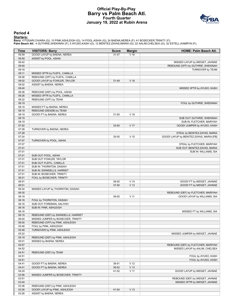# **Official Play-By-Play Barry vs Palm Beach Atl. Fourth Quarter January 19, 2022 at Rubin Arena**



#### **Period 4**

<mark>Starters:</mark><br>Barry: 4 FUSARI,CHIARA (G); 10 PINK,ASHLEIGH (G); 14 POOL,ASHIA (G); 24 BAENA,NEREA (F); 41 BOSECKER,TRINITY (F);<br>Palm Beach Atl.: 4 GUTHRIE,SHEKINAH (F); 5 AYUSO,KASH (G); 12 BENITEZ-ZAYAS,MARIA (G); 22 AALIM,

| Time           | <b>VISITORS: Barry</b>                                                | <b>Score</b> | <b>Margin</b>   | <b>HOME: Palm Beach Atl.</b>             |
|----------------|-----------------------------------------------------------------------|--------------|-----------------|------------------------------------------|
| 09:59          | GOOD! LAYUP by BAENA, NEREA                                           | $31 - 47$    | $V$ 16          |                                          |
| 09:59          | ASSIST by POOL, ASHIA                                                 |              |                 |                                          |
| 09:42          |                                                                       |              |                 | MISSED LAYUP by MIDGET, JAHNAE           |
| 09:40          |                                                                       |              |                 | REBOUND (OFF) by GUTHRIE, SHEKINAH       |
| 09:18          |                                                                       |              |                 | TURNOVER by TEAM                         |
| 09:11          | MISSED 3PTR by FLEFIL, CAMILLA                                        |              |                 |                                          |
| 09:08          | REBOUND (OFF) by FLEFIL, CAMILLA                                      |              |                 |                                          |
| 09:02          | GOOD! LAYUP by FOWLER, TAYLOR                                         | $31 - 49$    | V 18            |                                          |
| 09:02          | ASSIST by BAENA, NEREA                                                |              |                 |                                          |
| 08:40          |                                                                       |              |                 | MISSED 3PTR by AYUSO, KASH               |
| 08:36          | REBOUND (DEF) by POOL, ASHIA                                          |              |                 |                                          |
| 08:26          | MISSED 3PTR by FLEFIL, CAMILLA                                        |              |                 |                                          |
| 08:22          | REBOUND (OFF) by TEAM                                                 |              |                 |                                          |
| 08:19          |                                                                       |              |                 | FOUL by GUTHRIE, SHEKINAH                |
| 08:19          | MISSED FT by BAENA, NEREA                                             |              |                 |                                          |
| 08:19          | REBOUND (DEADB) by TEAM                                               |              |                 |                                          |
| 08:19          | GOOD! FT by BAENA, NEREA                                              | 31-50        | $V$ 19          |                                          |
| 08:19          |                                                                       |              |                 | SUB OUT: GUTHRIE, SHEKINAH               |
| 08:19          |                                                                       |              |                 | SUB IN: FLETCHER, MARIYAH                |
| 07:52          |                                                                       | 33-50        | V 17            | GOOD! JUMPER by AYUSO, KASH              |
| 07:28          | TURNOVER by BAENA, NEREA                                              |              |                 |                                          |
| 07:28          |                                                                       |              |                 | STEAL by BENITEZ-ZAYAS, MARIA            |
| 07:24          |                                                                       | 35-50        | V <sub>15</sub> | GOOD! LAYUP by BENITEZ-ZAYAS, MARIA [FB] |
| 07:07          | TURNOVER by POOL, ASHIA                                               |              |                 |                                          |
| 07:07          |                                                                       |              |                 | STEAL by FLETCHER, MARIYAH               |
| 07:01          |                                                                       |              |                 | SUB OUT: BENITEZ-ZAYAS, MARIA            |
| 07:01          |                                                                       |              |                 | SUB IN: WILLIAMS, SIA                    |
| 07:01          | SUB OUT: POOL, ASHIA                                                  |              |                 |                                          |
| 07:01          | SUB OUT: FOWLER, TAYLOR                                               |              |                 |                                          |
| 07:01          | SUB OUT: FLEFIL, CAMILLA                                              |              |                 |                                          |
| 07:01          | SUB IN: THORNTON, DASIAH                                              |              |                 |                                          |
| 07:01          | SUB IN: SWINDELLS, HARRIET                                            |              |                 |                                          |
| 07:01          | SUB IN: BOSECKER, TRINITY                                             |              |                 |                                          |
| 06:51          | FOUL by BOSECKER, TRINITY                                             |              |                 |                                          |
| 06:51          |                                                                       | 36-50        | V <sub>14</sub> | GOOD! FT by MIDGET, JAHNAE               |
| 06:51          |                                                                       | 37-50        | V <sub>13</sub> | GOOD! FT by MIDGET, JAHNAE               |
| 06:34          | MISSED LAYUP by THORNTON, DASIAH                                      |              |                 |                                          |
| 06:30          |                                                                       |              |                 | REBOUND (DEF) by FLETCHER, MARIYAH       |
| 06:18          |                                                                       | 39-50        | V <sub>11</sub> | GOOD! LAYUP by WILLIAMS, SIA             |
| 06:16          | FOUL by THORNTON, DASIAH                                              |              |                 |                                          |
| 06:16          | SUB OUT: FOREMAN, AALIYAH                                             |              |                 |                                          |
| 06:16          | SUB IN: PINK, ASHLEIGH                                                |              |                 |                                          |
| 06:16          |                                                                       |              |                 | MISSED FT by WILLIAMS, SIA               |
| 06:15          | REBOUND (DEF) by SWINDELLS, HARRIET                                   |              |                 |                                          |
| 06:04          | MISSED JUMPER by BOSECKER, TRINITY<br>REBOUND (OFF) by PINK, ASHLEIGH |              |                 |                                          |
| 06:00          | FOUL by PINK, ASHLEIGH                                                |              |                 |                                          |
| 05:48<br>05:48 | TURNOVER by PINK, ASHLEIGH                                            |              |                 |                                          |
| 05:22          |                                                                       |              |                 | MISSED JUMPER by MIDGET, JAHNAE          |
| 05:19          | REBOUND (DEF) by PINK, ASHLEIGH                                       |              |                 |                                          |
| 05:01          | MISSED by BAENA, NEREA                                                |              |                 |                                          |
| 04:57          |                                                                       |              |                 | REBOUND (DEF) by FLETCHER, MARIYAH       |
| 04:52          |                                                                       |              |                 | MISSED LAYUP by AALIM, CHELSEA           |
| 04:51          | REBOUND (DEF) by TEAM                                                 |              |                 |                                          |
| 04:51          |                                                                       |              |                 | FOUL by AYUSO, KASH                      |
| 04:51          |                                                                       |              |                 | FOUL by AYUSO, KASH                      |
| 04:41          | GOOD! FT by BAENA, NEREA                                              | 39-51        | V <sub>12</sub> |                                          |
| 04:41          | GOOD! FT by BAENA, NEREA                                              | 39-52        | V <sub>13</sub> |                                          |
| 04:24          |                                                                       | 41-52        | $V$ 11          | GOOD! LAYUP by MIDGET, JAHNAE            |
| 03:56          | MISSED JUMPER by BOSECKER, TRINITY                                    |              |                 |                                          |
| 03:51          |                                                                       |              |                 | REBOUND (DEF) by MIDGET, JAHNAE          |
| 03:40          |                                                                       |              |                 | MISSED 3PTR by MIDGET, JAHNAE            |
| 03:36          | REBOUND (DEF) by PINK, ASHLEIGH                                       |              |                 |                                          |
| 03:26          | GOOD! LAYUP by PINK, ASHLEIGH                                         | 41-54        | V <sub>13</sub> |                                          |
| 03:26          | ASSIST by BAENA, NEREA                                                |              |                 |                                          |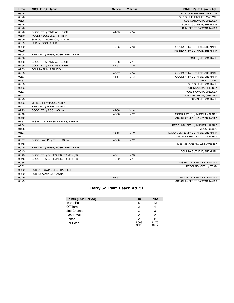| <b>Time</b> | <b>VISITORS: Barry</b>             | <b>Score</b> | <b>Margin</b>   | HOME: Palm Beach Atl.             |
|-------------|------------------------------------|--------------|-----------------|-----------------------------------|
| 03:26       |                                    |              |                 | FOUL by FLETCHER, MARIYAH         |
| 03:26       |                                    |              |                 | SUB OUT: FLETCHER, MARIYAH        |
| 03:26       |                                    |              |                 | SUB OUT: AALIM, CHELSEA           |
| 03:26       |                                    |              |                 | SUB IN: GUTHRIE, SHEKINAH         |
| 03:26       |                                    |              |                 | SUB IN: BENITEZ-ZAYAS, MARIA      |
| 03:26       | GOOD! FT by PINK, ASHLEIGH         | 41-55        | V <sub>14</sub> |                                   |
| 03:10       | FOUL by BOSECKER, TRINITY          |              |                 |                                   |
| 03:09       | SUB OUT: THORNTON, DASIAH          |              |                 |                                   |
| 03:09       | SUB IN: POOL, ASHIA                |              |                 |                                   |
| 03:09       |                                    | 42-55        | V <sub>13</sub> | GOOD! FT by GUTHRIE, SHEKINAH     |
| 03:09       |                                    |              |                 | MISSED FT by GUTHRIE, SHEKINAH    |
| 03:08       | REBOUND (DEF) by BOSECKER, TRINITY |              |                 |                                   |
| 02:56       |                                    |              |                 | FOUL by AYUSO, KASH               |
| 02:56       | GOOD! FT by PINK, ASHLEIGH         | 42-56        | V <sub>14</sub> |                                   |
| 02:56       | GOOD! FT by PINK, ASHLEIGH         | 42-57        | V <sub>15</sub> |                                   |
| 02:33       | FOUL by PINK, ASHLEIGH             |              |                 |                                   |
| 02:33       |                                    | 43-57        | V <sub>14</sub> | GOOD! FT by GUTHRIE, SHEKINAH     |
| 02:33       |                                    | 44-57        | V <sub>13</sub> | GOOD! FT by GUTHRIE, SHEKINAH     |
| 02:33       |                                    |              |                 | TIMEOUT 30SEC                     |
| 02:33       |                                    |              |                 | SUB OUT: AYUSO, KASH              |
| 02:33       |                                    |              |                 | SUB IN: AALIM, CHELSEA            |
| 02:23       |                                    |              |                 | FOUL by AALIM, CHELSEA            |
| 02:23       |                                    |              |                 | SUB OUT: AALIM, CHELSEA           |
| 02:23       |                                    |              |                 | SUB IN: AYUSO, KASH               |
| 02:23       | MISSED FT by POOL, ASHIA           |              |                 |                                   |
| 02:23       | REBOUND (DEADB) by TEAM            |              |                 |                                   |
| 02:23       | GOOD! FT by POOL, ASHIA            | 44-58        | V <sub>14</sub> |                                   |
| 02:10       |                                    | 46-58        | V <sub>12</sub> | GOOD! LAYUP by MIDGET, JAHNAE     |
| 02:10       |                                    |              |                 | ASSIST by BENITEZ-ZAYAS, MARIA    |
| 01:37       | MISSED 3PTR by SWINDELLS, HARRIET  |              |                 |                                   |
| 01:34       |                                    |              |                 | REBOUND (DEF) by MIDGET, JAHNAE   |
| 01:28       |                                    |              |                 | TIMEOUT 30SEC                     |
| 01:27       |                                    | 48-58        | $V$ 10          | GOOD! JUMPER by GUTHRIE, SHEKINAH |
| 01:27       |                                    |              |                 | ASSIST by BENITEZ-ZAYAS, MARIA    |
| 00:57       | GOOD! LAYUP by POOL, ASHIA         | 48-60        | V <sub>12</sub> |                                   |
| 00:46       |                                    |              |                 | MISSED LAYUP by WILLIAMS, SIA     |
| 00:45       | REBOUND (DEF) by BOSECKER, TRINITY |              |                 |                                   |
| 00:45       |                                    |              |                 | FOUL by GUTHRIE, SHEKINAH         |
| 00:45       | GOOD! FT by BOSECKER, TRINITY [FB] | 48-61        | V <sub>13</sub> |                                   |
| 00:45       | GOOD! FT by BOSECKER, TRINITY [FB] | 48-62        | V <sub>14</sub> |                                   |
| 00:36       |                                    |              |                 | MISSED 3PTR by WILLIAMS, SIA      |
| 00:32       |                                    |              |                 | REBOUND (OFF) by TEAM             |
| 00:32       | SUB OUT: SWINDELLS, HARRIET        |              |                 |                                   |
| 00:32       | SUB IN: KAMPP, JOHANNA             |              |                 |                                   |
| 00:29       |                                    | 51-62        | $V$ 11          | GOOD! 3PTR by WILLIAMS, SIA       |
| 00:29       |                                    |              |                 | ASSIST by BENITEZ-ZAYAS, MARIA    |

# **Barry 62, Palm Beach Atl. 51**

| <b>Points (This Period)</b> | <b>BU</b>     | <b>PBA</b>     |
|-----------------------------|---------------|----------------|
| In the Paint                |               | 12             |
| Off Turns                   |               |                |
| 2nd Chance                  |               |                |
| Fast Break                  |               |                |
| Bench                       |               |                |
| Per Poss                    | 1.063<br>9/16 | 1.176<br>10/17 |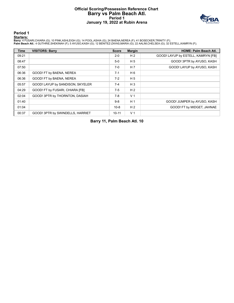# **Official Scoring/Possession Reference Chart Barry vs Palm Beach Atl. Period 1 January 19, 2022 at Rubin Arena**



#### **Period 1**

#### **Starters:**

Barry: 4 FUSARI,CHIARA (G); 10 PINK,ASHLEIGH (G); 14 POOL,ASHIA (G); 24 BAENA,NEREA (F); 41 BOSECKER,TRINITY (F);<br>Palm Beach Atl.: 4 GUTHRIE,SHEKINAH (F); 5 AYUSO,KASH (G); 12 BENITEZ-ZAYAS,MARIA (G); 22 AALIM,CHELSEA (G);

| <b>Time</b> | <b>VISITORS: Barry</b>           | <b>Score</b> | <b>Margin</b>  | <b>HOME: Palm Beach Atl.</b>       |
|-------------|----------------------------------|--------------|----------------|------------------------------------|
| 09:21       |                                  | $2 - 0$      | H <sub>2</sub> | GOOD! LAYUP by ESTELL, KAMRYN [FB] |
| 08:47       |                                  | $5-0$        | H <sub>5</sub> | GOOD! 3PTR by AYUSO, KASH          |
| 07:50       |                                  | $7-0$        | H <sub>7</sub> | GOOD! LAYUP by AYUSO, KASH         |
| 06:36       | GOOD! FT by BAENA, NEREA         | $7 - 1$      | H 6            |                                    |
| 06:36       | GOOD! FT by BAENA, NEREA         | $7-2$        | H <sub>5</sub> |                                    |
| 05:57       | GOOD! LAYUP by SANDISON, SKYELER | $7 - 4$      | $H_3$          |                                    |
| 04:29       | GOOD! FT by FUSARI, CHIARA [FB]  | $7-5$        | H <sub>2</sub> |                                    |
| 02:04       | GOOD! 3PTR by THORNTON, DASIAH   | $7-8$        | V <sub>1</sub> |                                    |
| 01:40       |                                  | $9 - 8$      | H <sub>1</sub> | GOOD! JUMPER by AYUSO, KASH        |
| 01:04       |                                  | $10-8$       | H <sub>2</sub> | GOOD! FT by MIDGET, JAHNAE         |
| 00:37       | GOOD! 3PTR by SWINDELLS, HARRIET | $10 - 11$    | V <sub>1</sub> |                                    |

**Barry 11, Palm Beach Atl. 10**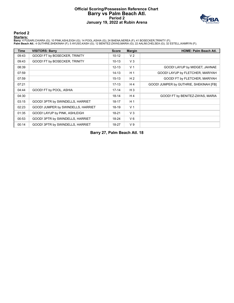# **Official Scoring/Possession Reference Chart Barry vs Palm Beach Atl. Period 2 January 19, 2022 at Rubin Arena**



### **Period 2**

#### **Starters:**

Barry: 4 FUSARI,CHIARA (G); 10 PINK,ASHLEIGH (G); 14 POOL,ASHIA (G); 24 BAENA,NEREA (F); 41 BOSECKER,TRINITY (F);<br>Palm Beach Atl.: 4 GUTHRIE,SHEKINAH (F); 5 AYUSO,KASH (G); 12 BENITEZ-ZAYAS,MARIA (G); 22 AALIM,CHELSEA (G);

| <b>Time</b> | <b>VISITORS: Barry</b>             | <b>Score</b> | <b>Margin</b>  | <b>HOME: Palm Beach Atl.</b>           |
|-------------|------------------------------------|--------------|----------------|----------------------------------------|
| 09:43       | GOOD! FT by BOSECKER, TRINITY      | $10 - 12$    | V <sub>2</sub> |                                        |
| 09:43       | GOOD! FT by BOSECKER, TRINITY      | $10 - 13$    | V <sub>3</sub> |                                        |
| 08:39       |                                    | $12 - 13$    | V <sub>1</sub> | GOOD! LAYUP by MIDGET, JAHNAE          |
| 07:59       |                                    | $14 - 13$    | H <sub>1</sub> | GOOD! LAYUP by FLETCHER, MARIYAH       |
| 07:59       |                                    | $15 - 13$    | H <sub>2</sub> | GOOD! FT by FLETCHER, MARIYAH          |
| 07:21       |                                    | $17-13$      | H4             | GOOD! JUMPER by GUTHRIE, SHEKINAH [FB] |
| 04:44       | GOOD! FT by POOL, ASHIA            | $17 - 14$    | $H_3$          |                                        |
| 04:30       |                                    | $18 - 14$    | H4             | GOOD! FT by BENITEZ-ZAYAS, MARIA       |
| 03:15       | GOOD! 3PTR by SWINDELLS, HARRIET   | $18 - 17$    | H <sub>1</sub> |                                        |
| 02:23       | GOOD! JUMPER by SWINDELLS, HARRIET | $18-19$      | V <sub>1</sub> |                                        |
| 01:35       | GOOD! LAYUP by PINK, ASHLEIGH      | $18 - 21$    | V <sub>3</sub> |                                        |
| 00:53       | GOOD! 3PTR by SWINDELLS, HARRIET   | $18 - 24$    | $V_6$          |                                        |
| 00:14       | GOOD! 3PTR by SWINDELLS, HARRIET   | 18-27        | V <sub>9</sub> |                                        |

**Barry 27, Palm Beach Atl. 18**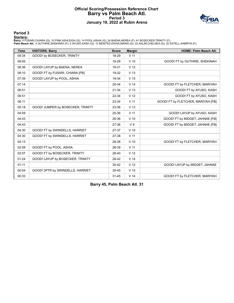# **Official Scoring/Possession Reference Chart Barry vs Palm Beach Atl. Period 3 January 19, 2022 at Rubin Arena**



#### **Period 3**

#### **Starters:**

Barry: 4 FUSARI,CHIARA (G); 10 PINK,ASHLEIGH (G); 14 POOL,ASHIA (G); 24 BAENA,NEREA (F); 41 BOSECKER,TRINITY (F);<br>Palm Beach Atl.: 4 GUTHRIE,SHEKINAH (F); 5 AYUSO,KASH (G); 12 BENITEZ-ZAYAS,MARIA (G); 22 AALIM,CHELSEA (G);

| <b>Time</b> | <b>VISITORS: Barry</b>            | <b>Score</b> | <b>Margin</b>   | <b>HOME: Palm Beach Atl.</b>       |
|-------------|-----------------------------------|--------------|-----------------|------------------------------------|
| 09:34       | GOOD! by BOSECKER, TRINITY        | 18-29        | V <sub>11</sub> |                                    |
| 09:05       |                                   | 19-29        | $V$ 10          | GOOD! FT by GUTHRIE, SHEKINAH      |
| 08:36       | GOOD! LAYUP by BAENA, NEREA       | 19-31        | V <sub>12</sub> |                                    |
| 08:10       | GOOD! FT by FUSARI, CHIARA [FB]   | 19-32        | V <sub>13</sub> |                                    |
| 07:39       | GOOD! LAYUP by POOL, ASHIA        | 19-34        | V <sub>15</sub> |                                    |
| 07:14       |                                   | 20-34        | V <sub>14</sub> | GOOD! FT by FLETCHER, MARIYAH      |
| 06:51       |                                   | $21 - 34$    | V <sub>13</sub> | GOOD! FT by AYUSO, KASH            |
| 06:51       |                                   | 22-34        | V <sub>12</sub> | GOOD! FT by AYUSO, KASH            |
| 06:11       |                                   | 23-34        | V <sub>11</sub> | GOOD! FT by FLETCHER, MARIYAH [FB] |
| 05:18       | GOOD! JUMPER by BOSECKER, TRINITY | 23-36        | V <sub>13</sub> |                                    |
| 04:59       |                                   | 25-36        | V <sub>11</sub> | GOOD! LAYUP by AYUSO, KASH         |
| 04:43       |                                   | 26-36        | $V$ 10          | GOOD! FT by MIDGET, JAHNAE [FB]    |
| 04:43       |                                   | 27-36        | V <sub>9</sub>  | GOOD! FT by MIDGET, JAHNAE [FB]    |
| 04:30       | GOOD! FT by SWINDELLS, HARRIET    | 27-37        | $V$ 10          |                                    |
| 04:30       | GOOD! FT by SWINDELLS, HARRIET    | 27-38        | V <sub>11</sub> |                                    |
| 04:13       |                                   | 28-38        | V <sub>10</sub> | GOOD! FT by FLETCHER, MARIYAH      |
| 02:59       | GOOD! FT by POOL, ASHIA           | 28-39        | V <sub>11</sub> |                                    |
| 02:57       | GOOD! FT by BOSECKER, TRINITY     | 28-40        | V <sub>12</sub> |                                    |
| 01:24       | GOOD! LAYUP by BOSECKER, TRINITY  | 28-42        | V <sub>14</sub> |                                    |
| 01:11       |                                   | $30 - 42$    | V <sub>12</sub> | GOOD! LAYUP by MIDGET, JAHNAE      |
| 00:54       | GOOD! 3PTR by SWINDELLS, HARRIET  | $30 - 45$    | V <sub>15</sub> |                                    |
| 00:33       |                                   | $31 - 45$    | V <sub>14</sub> | GOOD! FT by FLETCHER, MARIYAH      |

**Barry 45, Palm Beach Atl. 31**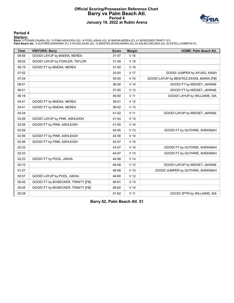# **Official Scoring/Possession Reference Chart Barry vs Palm Beach Atl. Period 4 January 19, 2022 at Rubin Arena**



### **Period 4**

#### **Starters:**

Barry: 4 FUSARI,CHIARA (G); 10 PINK,ASHLEIGH (G); 14 POOL,ASHIA (G); 24 BAENA,NEREA (F); 41 BOSECKER,TRINITY (F);<br>Palm Beach Atl.: 4 GUTHRIE,SHEKINAH (F); 5 AYUSO,KASH (G); 12 BENITEZ-ZAYAS,MARIA (G); 22 AALIM,CHELSEA (G);

| <b>Time</b> | <b>VISITORS: Barry</b>             | <b>Score</b> | <b>Margin</b>   | HOME: Palm Beach Atl.                    |
|-------------|------------------------------------|--------------|-----------------|------------------------------------------|
| 09:59       | GOOD! LAYUP by BAENA, NEREA        | $31 - 47$    | V <sub>16</sub> |                                          |
| 09:02       | GOOD! LAYUP by FOWLER, TAYLOR      | $31 - 49$    | V 18            |                                          |
| 08:19       | GOOD! FT by BAENA, NEREA           | $31 - 50$    | V <sub>19</sub> |                                          |
| 07:52       |                                    | 33-50        | V <sub>17</sub> | GOOD! JUMPER by AYUSO, KASH              |
| 07:24       |                                    | 35-50        | V <sub>15</sub> | GOOD! LAYUP by BENITEZ-ZAYAS, MARIA [FB] |
| 06:51       |                                    | 36-50        | V <sub>14</sub> | GOOD! FT by MIDGET, JAHNAE               |
| 06:51       |                                    | $37 - 50$    | V <sub>13</sub> | GOOD! FT by MIDGET, JAHNAE               |
| 06:18       |                                    | 39-50        | V <sub>11</sub> | GOOD! LAYUP by WILLIAMS, SIA             |
| 04:41       | GOOD! FT by BAENA, NEREA           | 39-51        | V <sub>12</sub> |                                          |
| 04:41       | GOOD! FT by BAENA, NEREA           | 39-52        | V <sub>13</sub> |                                          |
| 04:24       |                                    | 41-52        | V <sub>11</sub> | GOOD! LAYUP by MIDGET, JAHNAE            |
| 03:26       | GOOD! LAYUP by PINK, ASHLEIGH      | 41-54        | V <sub>13</sub> |                                          |
| 03:26       | GOOD! FT by PINK, ASHLEIGH         | 41-55        | V <sub>14</sub> |                                          |
| 03:09       |                                    | 42-55        | V <sub>13</sub> | GOOD! FT by GUTHRIE, SHEKINAH            |
| 02:56       | GOOD! FT by PINK, ASHLEIGH         | 42-56        | V <sub>14</sub> |                                          |
| 02:56       | GOOD! FT by PINK, ASHLEIGH         | 42-57        | V <sub>15</sub> |                                          |
| 02:33       |                                    | 43-57        | V <sub>14</sub> | GOOD! FT by GUTHRIE, SHEKINAH            |
| 02:33       |                                    | 44-57        | V <sub>13</sub> | GOOD! FT by GUTHRIE, SHEKINAH            |
| 02:23       | GOOD! FT by POOL, ASHIA            | 44-58        | V <sub>14</sub> |                                          |
| 02:10       |                                    | 46-58        | V <sub>12</sub> | GOOD! LAYUP by MIDGET, JAHNAE            |
| 01:27       |                                    | 48-58        | $V$ 10          | GOOD! JUMPER by GUTHRIE, SHEKINAH        |
| 00:57       | GOOD! LAYUP by POOL, ASHIA         | 48-60        | V <sub>12</sub> |                                          |
| 00:45       | GOOD! FT by BOSECKER, TRINITY [FB] | 48-61        | V <sub>13</sub> |                                          |
| 00:45       | GOOD! FT by BOSECKER, TRINITY [FB] | 48-62        | V <sub>14</sub> |                                          |
| 00:29       |                                    | 51-62        | $V$ 11          | GOOD! 3PTR by WILLIAMS, SIA              |

**Barry 62, Palm Beach Atl. 51**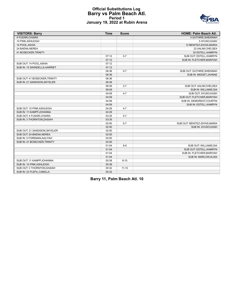### **Official Substitutions Log Barry vs Palm Beach Atl. Period 1 January 19, 2022 at Rubin Arena**



| <b>VISITORS: Barry</b>        | <b>Time</b> | <b>Score</b> | HOME: Palm Beach Atl.         |
|-------------------------------|-------------|--------------|-------------------------------|
| 4 FUSARI.CHIARA               |             |              | 4 GUTHRIE.SHEKINAH            |
| 10 PINK, ASHLEIGH             |             |              | 5 AYUSO, KASH                 |
| 14 POOL, ASHIA                |             |              | 12 BENITEZ-ZAYAS, MARIA       |
| 24 BAENA, NEREA               |             |              | 22 AALIM, CHELSEA             |
| 41 BOSECKER, TRINITY          |             |              | 32 ESTELL, KAMRYN             |
|                               | 07:12       | $0 - 7$      | SUB OUT: ESTELL, KAMRYN       |
|                               | 07:12       |              | SUB IN: FLETCHER, MARIYAH     |
| SUB OUT: 14 POOL, ASHIA       | 07:12       |              |                               |
| SUB IN: 15 SWINDELLS, HARRIET | 07:12       |              |                               |
|                               | 06:36       | $0 - 7$      | SUB OUT: GUTHRIE, SHEKINAH    |
|                               | 06:36       |              | SUB IN: MIDGET, JAHNAE        |
| SUB OUT: 41 BOSECKER, TRINITY | 06:36       |              |                               |
| SUB IN: 21 SANDISON, SKYELER  | 06:36       |              |                               |
|                               | 06:09       | $2 - 7$      | SUB OUT: AALIM, CHELSEA       |
|                               | 06:09       |              | SUB IN: WILLIAMS, SIA         |
|                               | 04:59       | $4 - 7$      | SUB OUT: AYUSO.KASH           |
|                               | 04:59       |              | SUB OUT: FLETCHER, MARIYAH    |
|                               | 04:59       |              | SUB IN: DEMOREST, COURTNI     |
|                               | 04:59       |              | SUB IN: ESTELL, KAMRYN        |
| SUB OUT: 10 PINK, ASHLEIGH    | 04:29       | $4 - 7$      |                               |
| SUB IN: 11 KAMPP, JOHANNA     | 04:29       |              |                               |
| SUB OUT: 4 FUSARI, CHIARA     | 03:35       | $5 - 7$      |                               |
| SUB IN: 3 THORNTON.DASIAH     | 03:35       |              |                               |
|                               | 02:50       | $5 - 7$      | SUB OUT: BENITEZ-ZAYAS, MARIA |
|                               | 02:50       |              | SUB IN: AYUSO, KASH           |
| SUB OUT: 21 SANDISON, SKYELER | 02:50       |              |                               |
| SUB OUT: 24 BAENA, NEREA      | 02:50       |              |                               |
| SUB IN: 5 FOREMAN, AALIYAH    | 02:50       |              |                               |
| SUB IN: 41 BOSECKER, TRINITY  | 02:50       |              |                               |
|                               | 01:04       | $8-9$        | SUB OUT: WILLIAMS, SIA        |
|                               | 01:04       |              | SUB OUT: ESTELL, KAMRYN       |
|                               | 01:04       |              | SUB IN: FLETCHER, MARIYAH     |
|                               | 01:04       |              | SUB IN: MARLOW, ALISA         |
| SUB OUT: 11 KAMPP, JOHANNA    | 00:38       | $8 - 10$     |                               |
| SUB IN: 10 PINK, ASHLEIGH     | 00:38       |              |                               |
| SUB OUT: 3 THORNTON, DASIAH   | 00:32       | $11 - 10$    |                               |
| SUB IN: 23 FLEFIL, CAMILLA    | 00:32       |              |                               |

**Barry 11, Palm Beach Atl. 10**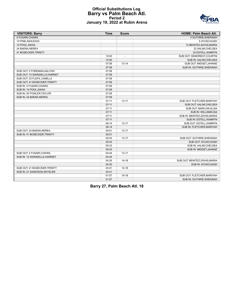### **Official Substitutions Log Barry vs Palm Beach Atl. Period 2 January 19, 2022 at Rubin Arena**



| <b>VISITORS: Barry</b>         | <b>Time</b> | <b>Score</b>             | <b>HOME: Palm Beach Atl.</b> |
|--------------------------------|-------------|--------------------------|------------------------------|
| 4 FUSARI, CHIARA               |             |                          | 4 GUTHRIE, SHEKINAH          |
| 10 PINK, ASHLEIGH              |             |                          | 5 AYUSO, KASH                |
| 14 POOL, ASHIA                 |             |                          | 12 BENITEZ-ZAYAS, MARIA      |
| 24 BAENA, NEREA                |             |                          | 22 AALIM, CHELSEA            |
| 41 BOSECKER, TRINITY           |             |                          | 32 ESTELL, KAMRYN            |
|                                | 10:00       | $\overline{\phantom{a}}$ | SUB OUT: DEMOREST, COURTNI   |
|                                | 10:00       |                          | SUB IN: AALIM, CHELSEA       |
|                                | 07:59       | $13 - 14$                | SUB OUT: MIDGET, JAHNAE      |
|                                | 07:59       |                          | SUB IN: GUTHRIE, SHEKINAH    |
| SUB OUT: 5 FOREMAN, AALIYAH    | 07:59       |                          |                              |
| SUB OUT: 15 SWINDELLS, HARRIET | 07:59       |                          |                              |
| SUB OUT: 23 FLEFIL, CAMILLA    | 07:59       |                          |                              |
| SUB OUT: 41 BOSECKER, TRINITY  | 07:59       |                          |                              |
| SUB IN: 4 FUSARI, CHIARA       | 07:59       |                          |                              |
| SUB IN: 14 POOL, ASHIA         | 07:59       |                          |                              |
| SUB IN: 20 FOWLER, TAYLOR      | 07:59       |                          |                              |
| SUB IN: 24 BAENA, NEREA        | 07:59       |                          |                              |
|                                | 07:11       | $13 - 17$                | SUB OUT: FLETCHER, MARIYAH   |
|                                | 07:11       |                          | SUB OUT: AALIM, CHELSEA      |
|                                | 07:11       |                          | SUB OUT: MARLOW, ALISA       |
|                                | 07:11       |                          | SUB IN: WILLIAMS, SIA        |
|                                | 07:11       |                          | SUB IN: BENITEZ-ZAYAS, MARIA |
|                                | 07:11       |                          | SUB IN: ESTELL, KAMRYN       |
|                                | 06:14       | $13 - 17$                | SUB OUT: ESTELL, KAMRYN      |
|                                | 06:14       |                          | SUB IN: FLETCHER, MARIYAH    |
| SUB OUT: 24 BAENA, NEREA       | 05:51       | $13 - 17$                |                              |
| SUB IN: 41 BOSECKER, TRINITY   | 05:51       |                          |                              |
|                                | 05:43       | $13 - 17$                | SUB OUT: GUTHRIE, SHEKINAH   |
|                                | 05:43       |                          | SUB OUT: AYUSO, KASH         |
|                                | 05:43       |                          | SUB IN: AALIM, CHELSEA       |
|                                | 05:43       |                          | SUB IN: MIDGET, JAHNAE       |
| SUB OUT: 4 FUSARI, CHIARA      | 04:44       | $13 - 17$                |                              |
| SUB IN: 15 SWINDELLS, HARRIET  | 04:44       |                          |                              |
|                                | 04:30       | $14 - 18$                | SUB OUT: BENITEZ-ZAYAS.MARIA |
|                                | 04:30       |                          | SUB IN: AYUSO, KASH          |
| SUB OUT: 41 BOSECKER, TRINITY  | 03:41       | $14 - 18$                |                              |
| SUB IN: 21 SANDISON, SKYELER   | 03:41       |                          |                              |
|                                | 01:57       | 19-18                    | SUB OUT: FLETCHER, MARIYAH   |
|                                | 01:57       |                          | SUB IN: GUTHRIE, SHEKINAH    |

**Barry 27, Palm Beach Atl. 18**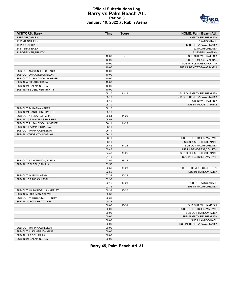#### **Official Substitutions Log Barry vs Palm Beach Atl. Period 3 January 19, 2022 at Rubin Arena**



| <b>VISITORS: Barry</b>         | Time  | <b>Score</b>             | <b>HOME: Palm Beach Atl.</b>                        |
|--------------------------------|-------|--------------------------|-----------------------------------------------------|
| 4 FUSARI, CHIARA               |       |                          | 4 GUTHRIE, SHEKINAH                                 |
| 10 PINK, ASHLEIGH              |       |                          | 5 AYUSO,KASH                                        |
| 14 POOL, ASHIA                 |       |                          | 12 BENITEZ-ZAYAS, MARIA                             |
| 24 BAENA, NEREA                |       |                          | 22 AALIM, CHELSEA                                   |
| 41 BOSECKER, TRINITY           |       |                          | 32 ESTELL, KAMRYN                                   |
|                                | 10:00 | $\overline{\phantom{a}}$ | SUB OUT: WILLIAMS, SIA                              |
|                                | 10:00 |                          | SUB OUT: MIDGET, JAHNAE                             |
|                                | 10:00 |                          | SUB IN: FLETCHER, MARIYAH                           |
|                                | 10:00 |                          | SUB IN: BENITEZ-ZAYAS, MARIA                        |
| SUB OUT: 15 SWINDELLS, HARRIET | 10:00 |                          |                                                     |
| SUB OUT: 20 FOWLER, TAYLOR     | 10:00 |                          |                                                     |
| SUB OUT: 21 SANDISON, SKYELER  | 10:00 |                          |                                                     |
| SUB IN: 4 FUSARI, CHIARA       | 10:00 |                          |                                                     |
| SUB IN: 24 BAENA, NEREA        | 10:00 |                          |                                                     |
| SUB IN: 41 BOSECKER, TRINITY   | 10:00 |                          |                                                     |
|                                | 08:10 | $31 - 19$                | SUB OUT: GUTHRIE, SHEKINAH                          |
|                                | 08:10 |                          | SUB OUT: BENITEZ-ZAYAS, MARIA                       |
|                                | 08:10 |                          | SUB IN: WILLIAMS, SIA                               |
|                                | 08:10 |                          | SUB IN: MIDGET, JAHNAE                              |
| SUB OUT: 24 BAENA, NEREA       | 08:10 |                          |                                                     |
| SUB IN: 21 SANDISON, SKYELER   | 08:10 |                          |                                                     |
| SUB OUT: 4 FUSARI, CHIARA      | 06:51 | 34-20                    |                                                     |
| SUB IN: 15 SWINDELLS, HARRIET  | 06:51 |                          |                                                     |
| SUB OUT: 21 SANDISON, SKYELER  | 06:11 | 34-22                    |                                                     |
| SUB IN: 11 KAMPP, JOHANNA      | 06:11 |                          |                                                     |
| SUB OUT: 10 PINK, ASHLEIGH     | 06:11 |                          |                                                     |
| SUB IN: 3 THORNTON, DASIAH     | 06:11 |                          |                                                     |
|                                | 06:11 |                          | SUB OUT: FLETCHER, MARIYAH                          |
|                                | 06:11 |                          | SUB IN: GUTHRIE, SHEKINAH                           |
|                                | 05:46 | 34-23                    | SUB OUT: AALIM, CHELSEA                             |
|                                | 05:46 |                          | SUB IN: DEMOREST, COURTNI                           |
|                                | 04:43 | 36-25                    | SUB OUT: GUTHRIE, SHEKINAH                          |
|                                | 04:43 |                          | SUB IN: FLETCHER, MARIYAH                           |
| SUB OUT: 3 THORNTON, DASIAH    | 03:57 | 38-28                    |                                                     |
| SUB IN: 23 FLEFIL, CAMILLA     | 03:57 |                          |                                                     |
|                                | 02:59 | 38-28                    | SUB OUT: DEMOREST, COURTNI                          |
|                                | 02:59 |                          | SUB IN: MARLOW, ALISA                               |
| SUB OUT: 14 POOL, ASHIA        | 02:38 | 40-28                    |                                                     |
| SUB IN: 10 PINK, ASHLEIGH      | 02:38 |                          |                                                     |
|                                | 02:16 | 40-28                    | SUB OUT: AYUSO.KASH                                 |
|                                | 02:16 |                          | SUB IN: AALIM, CHELSEA                              |
| SUB OUT: 15 SWINDELLS, HARRIET | 00:33 | 45-30                    |                                                     |
| SUB IN: 5 FOREMAN, AALIYAH     | 00:33 |                          |                                                     |
| SUB OUT: 41 BOSECKER, TRINITY  | 00:33 |                          |                                                     |
| SUB IN: 20 FOWLER, TAYLOR      | 00:33 |                          |                                                     |
|                                | 00:00 | 45-31                    | SUB OUT: WILLIAMS, SIA                              |
|                                | 00:00 |                          | SUB OUT: FLETCHER, MARIYAH                          |
|                                | 00:00 |                          | SUB OUT: MARLOW, ALISA                              |
|                                | 00:00 |                          | SUB IN: GUTHRIE, SHEKINAH                           |
|                                | 00:00 |                          |                                                     |
|                                |       |                          | SUB IN: AYUSO, KASH<br>SUB IN: BENITEZ-ZAYAS, MARIA |
|                                | 00:00 |                          |                                                     |
| SUB OUT: 10 PINK, ASHLEIGH     | 00:00 |                          |                                                     |
| SUB OUT: 11 KAMPP, JOHANNA     | 00:00 |                          |                                                     |
| SUB IN: 14 POOL, ASHIA         | 00:00 |                          |                                                     |
| SUB IN: 24 BAENA, NEREA        | 00:00 |                          |                                                     |

**Barry 45, Palm Beach Atl. 31**